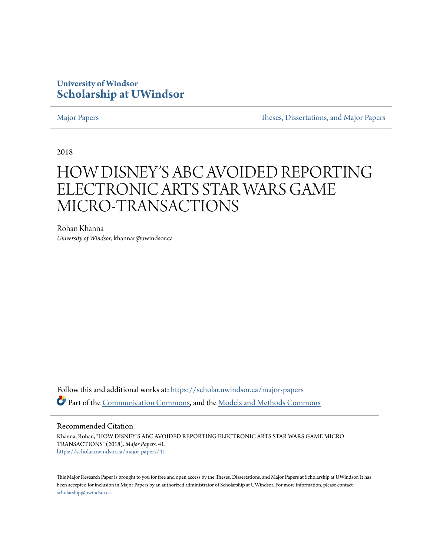## **University of Windsor [Scholarship at UWindsor](https://scholar.uwindsor.ca?utm_source=scholar.uwindsor.ca%2Fmajor-papers%2F41&utm_medium=PDF&utm_campaign=PDFCoverPages)**

[Major Papers](https://scholar.uwindsor.ca/major-papers?utm_source=scholar.uwindsor.ca%2Fmajor-papers%2F41&utm_medium=PDF&utm_campaign=PDFCoverPages) [Theses, Dissertations, and Major Papers](https://scholar.uwindsor.ca/theses-dissertations-major-papers?utm_source=scholar.uwindsor.ca%2Fmajor-papers%2F41&utm_medium=PDF&utm_campaign=PDFCoverPages)

2018

# HOW DISNEY'S ABC AVOIDED REPORTING ELECTRONIC ARTS STAR WARS GAME MICRO-TRANSACTIONS

Rohan Khanna *University of Windsor*, khannar@uwindsor.ca

Follow this and additional works at: [https://scholar.uwindsor.ca/major-papers](https://scholar.uwindsor.ca/major-papers?utm_source=scholar.uwindsor.ca%2Fmajor-papers%2F41&utm_medium=PDF&utm_campaign=PDFCoverPages) Part of the [Communication Commons](http://network.bepress.com/hgg/discipline/325?utm_source=scholar.uwindsor.ca%2Fmajor-papers%2F41&utm_medium=PDF&utm_campaign=PDFCoverPages), and the [Models and Methods Commons](http://network.bepress.com/hgg/discipline/390?utm_source=scholar.uwindsor.ca%2Fmajor-papers%2F41&utm_medium=PDF&utm_campaign=PDFCoverPages)

#### Recommended Citation

Khanna, Rohan, "HOW DISNEY'S ABC AVOIDED REPORTING ELECTRONIC ARTS STAR WARS GAME MICRO-TRANSACTIONS" (2018). *Major Papers*. 41. [https://scholar.uwindsor.ca/major-papers/41](https://scholar.uwindsor.ca/major-papers/41?utm_source=scholar.uwindsor.ca%2Fmajor-papers%2F41&utm_medium=PDF&utm_campaign=PDFCoverPages)

This Major Research Paper is brought to you for free and open access by the Theses, Dissertations, and Major Papers at Scholarship at UWindsor. It has been accepted for inclusion in Major Papers by an authorized administrator of Scholarship at UWindsor. For more information, please contact [scholarship@uwindsor.ca.](mailto:scholarship@uwindsor.ca)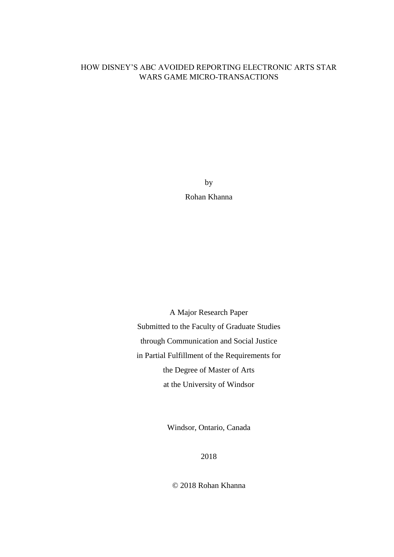### HOW DISNEY'S ABC AVOIDED REPORTING ELECTRONIC ARTS STAR WARS GAME MICRO-TRANSACTIONS

by Rohan Khanna

A Major Research Paper Submitted to the Faculty of Graduate Studies through Communication and Social Justice in Partial Fulfillment of the Requirements for the Degree of Master of Arts at the University of Windsor

Windsor, Ontario, Canada

2018

© 2018 Rohan Khanna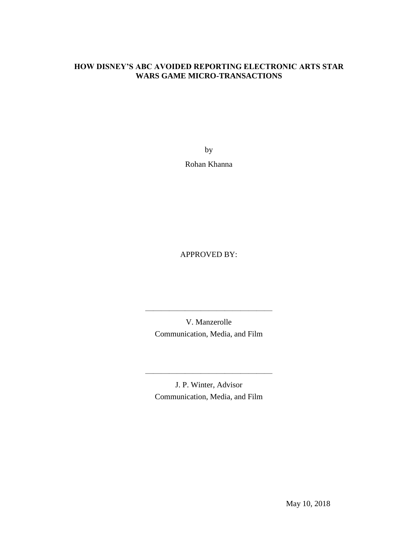#### **HOW DISNEY'S ABC AVOIDED REPORTING ELECTRONIC ARTS STAR WARS GAME MICRO-TRANSACTIONS**

by

Rohan Khanna

APPROVED BY:

V. Manzerolle Communication, Media, and Film

————————————————

J. P. Winter, Advisor Communication, Media, and Film

————————————————

May 10, 2018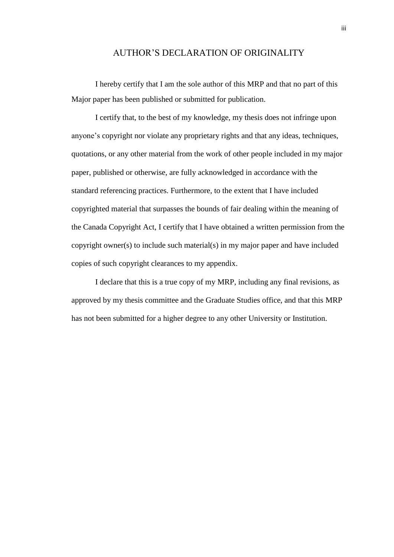#### AUTHOR'S DECLARATION OF ORIGINALITY

I hereby certify that I am the sole author of this MRP and that no part of this Major paper has been published or submitted for publication.

I certify that, to the best of my knowledge, my thesis does not infringe upon anyone's copyright nor violate any proprietary rights and that any ideas, techniques, quotations, or any other material from the work of other people included in my major paper, published or otherwise, are fully acknowledged in accordance with the standard referencing practices. Furthermore, to the extent that I have included copyrighted material that surpasses the bounds of fair dealing within the meaning of the Canada Copyright Act, I certify that I have obtained a written permission from the copyright owner(s) to include such material(s) in my major paper and have included copies of such copyright clearances to my appendix.

I declare that this is a true copy of my MRP, including any final revisions, as approved by my thesis committee and the Graduate Studies office, and that this MRP has not been submitted for a higher degree to any other University or Institution.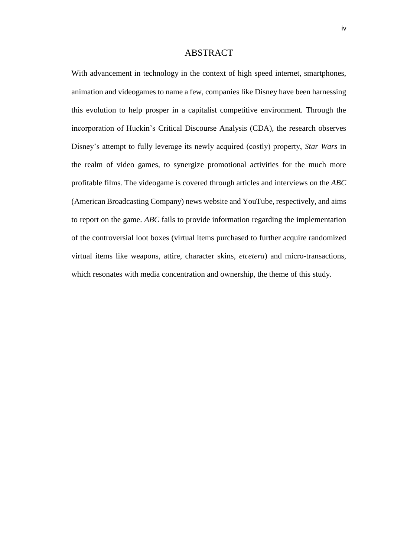#### ABSTRACT

With advancement in technology in the context of high speed internet, smartphones, animation and videogames to name a few, companies like Disney have been harnessing this evolution to help prosper in a capitalist competitive environment. Through the incorporation of Huckin's Critical Discourse Analysis (CDA), the research observes Disney's attempt to fully leverage its newly acquired (costly) property, *Star Wars* in the realm of video games, to synergize promotional activities for the much more profitable films*.* The videogame is covered through articles and interviews on the *ABC*  (American Broadcasting Company) news website and YouTube, respectively, and aims to report on the game. *ABC* fails to provide information regarding the implementation of the controversial loot boxes (virtual items purchased to further acquire randomized virtual items like weapons, attire, character skins, *etcetera*) and micro-transactions, which resonates with media concentration and ownership, the theme of this study.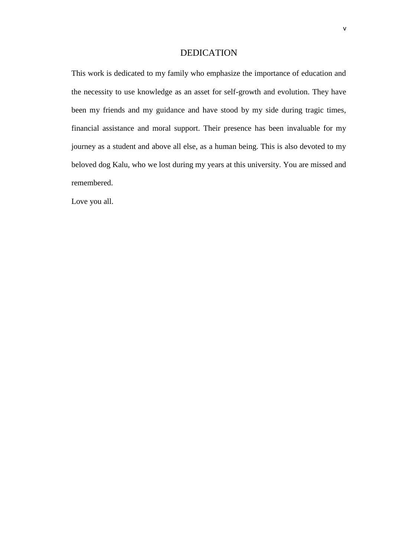#### DEDICATION

This work is dedicated to my family who emphasize the importance of education and the necessity to use knowledge as an asset for self-growth and evolution. They have been my friends and my guidance and have stood by my side during tragic times, financial assistance and moral support. Their presence has been invaluable for my journey as a student and above all else, as a human being. This is also devoted to my beloved dog Kalu, who we lost during my years at this university. You are missed and remembered.

Love you all.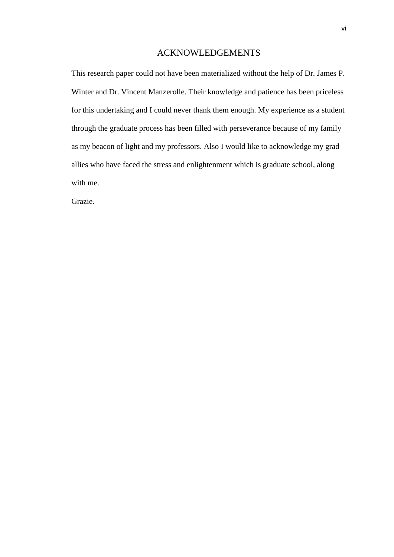#### ACKNOWLEDGEMENTS

This research paper could not have been materialized without the help of Dr. James P. Winter and Dr. Vincent Manzerolle. Their knowledge and patience has been priceless for this undertaking and I could never thank them enough. My experience as a student through the graduate process has been filled with perseverance because of my family as my beacon of light and my professors. Also I would like to acknowledge my grad allies who have faced the stress and enlightenment which is graduate school, along with me.

Grazie.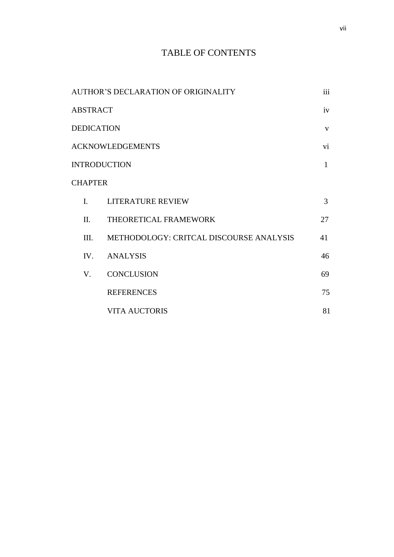# TABLE OF CONTENTS

| AUTHOR'S DECLARATION OF ORIGINALITY |                |                                         | iii          |
|-------------------------------------|----------------|-----------------------------------------|--------------|
| <b>ABSTRACT</b>                     |                |                                         | iv           |
| <b>DEDICATION</b>                   |                |                                         | $\mathbf{V}$ |
| <b>ACKNOWLEDGEMENTS</b>             |                |                                         | vi           |
| <b>INTRODUCTION</b>                 |                |                                         | $\mathbf{1}$ |
| <b>CHAPTER</b>                      |                |                                         |              |
|                                     | $\mathbf{I}$ . | LITERATURE REVIEW                       | 3            |
|                                     | II.            | THEORETICAL FRAMEWORK                   | 27           |
|                                     | III.           | METHODOLOGY: CRITCAL DISCOURSE ANALYSIS | 41           |
|                                     |                | IV. ANALYSIS                            | 46           |
|                                     | V.             | <b>CONCLUSION</b>                       | 69           |
|                                     |                | <b>REFERENCES</b>                       | 75           |
|                                     |                | <b>VITA AUCTORIS</b>                    | 81           |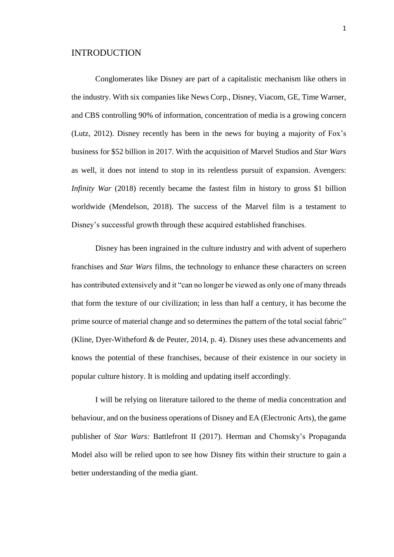#### INTRODUCTION

Conglomerates like Disney are part of a capitalistic mechanism like others in the industry. With six companies like News Corp., Disney, Viacom, GE, Time Warner, and CBS controlling 90% of information, concentration of media is a growing concern (Lutz, 2012). Disney recently has been in the news for buying a majority of Fox's business for \$52 billion in 2017. With the acquisition of Marvel Studios and *Star Wars* as well, it does not intend to stop in its relentless pursuit of expansion. Avengers: *Infinity War* (2018) recently became the fastest film in history to gross \$1 billion worldwide (Mendelson, 2018). The success of the Marvel film is a testament to Disney's successful growth through these acquired established franchises.

Disney has been ingrained in the culture industry and with advent of superhero franchises and *Star Wars* films, the technology to enhance these characters on screen has contributed extensively and it "can no longer be viewed as only one of many threads that form the texture of our civilization; in less than half a century, it has become the prime source of material change and so determines the pattern of the total social fabric" (Kline, Dyer-Witheford & de Peuter, 2014, p. 4). Disney uses these advancements and knows the potential of these franchises, because of their existence in our society in popular culture history. It is molding and updating itself accordingly.

I will be relying on literature tailored to the theme of media concentration and behaviour, and on the business operations of Disney and EA (Electronic Arts), the game publisher of *Star Wars:* Battlefront II (2017). Herman and Chomsky's Propaganda Model also will be relied upon to see how Disney fits within their structure to gain a better understanding of the media giant.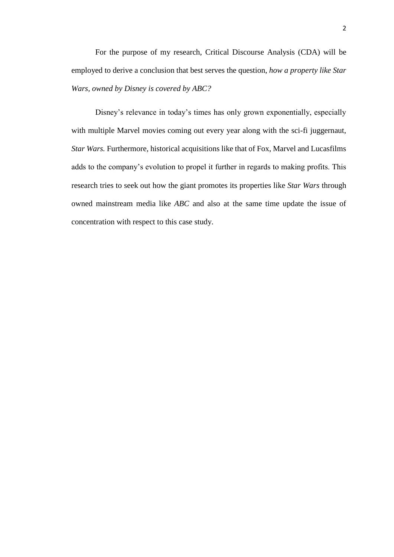For the purpose of my research, Critical Discourse Analysis (CDA) will be employed to derive a conclusion that best serves the question, *how a property like Star Wars, owned by Disney is covered by ABC?*

Disney's relevance in today's times has only grown exponentially, especially with multiple Marvel movies coming out every year along with the sci-fi juggernaut, *Star Wars.* Furthermore, historical acquisitions like that of Fox, Marvel and Lucasfilms adds to the company's evolution to propel it further in regards to making profits. This research tries to seek out how the giant promotes its properties like *Star Wars* through owned mainstream media like *ABC* and also at the same time update the issue of concentration with respect to this case study.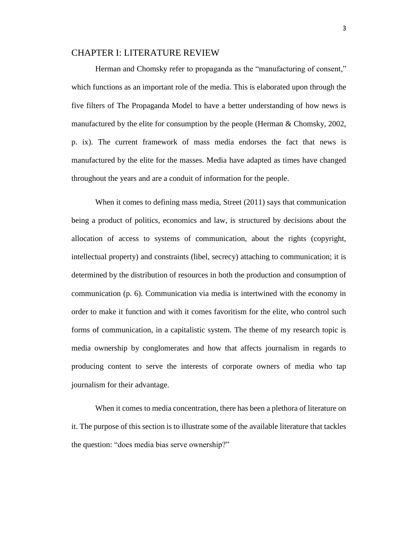#### CHAPTER I: LITERATURE REVIEW

Herman and Chomsky refer to propaganda as the "manufacturing of consent," which functions as an important role of the media. This is elaborated upon through the five filters of The Propaganda Model to have a better understanding of how news is manufactured by the elite for consumption by the people (Herman & Chomsky, 2002, p. ix). The current framework of mass media endorses the fact that news is manufactured by the elite for the masses. Media have adapted as times have changed throughout the years and are a conduit of information for the people.

When it comes to defining mass media, Street (2011) says that communication being a product of politics, economics and law, is structured by decisions about the allocation of access to systems of communication, about the rights (copyright, intellectual property) and constraints (libel, secrecy) attaching to communication; it is determined by the distribution of resources in both the production and consumption of communication (p. 6). Communication via media is intertwined with the economy in order to make it function and with it comes favoritism for the elite, who control such forms of communication, in a capitalistic system. The theme of my research topic is media ownership by conglomerates and how that affects journalism in regards to producing content to serve the interests of corporate owners of media who tap journalism for their advantage.

When it comes to media concentration, there has been a plethora of literature on it. The purpose of this section is to illustrate some of the available literature that tackles the question: "does media bias serve ownership?"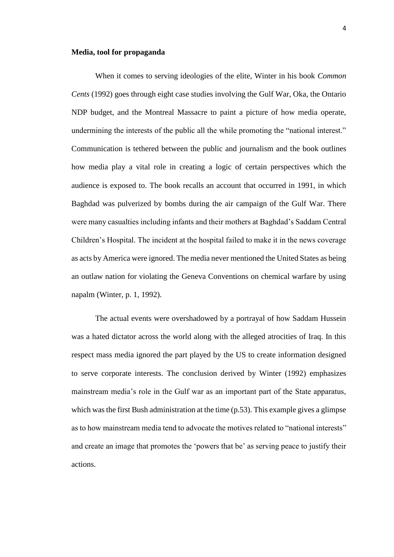#### **Media, tool for propaganda**

When it comes to serving ideologies of the elite, Winter in his book *Common Cents* (1992) goes through eight case studies involving the Gulf War, Oka, the Ontario NDP budget, and the Montreal Massacre to paint a picture of how media operate, undermining the interests of the public all the while promoting the "national interest." Communication is tethered between the public and journalism and the book outlines how media play a vital role in creating a logic of certain perspectives which the audience is exposed to. The book recalls an account that occurred in 1991, in which Baghdad was pulverized by bombs during the air campaign of the Gulf War. There were many casualties including infants and their mothers at Baghdad's Saddam Central Children's Hospital. The incident at the hospital failed to make it in the news coverage as acts by America were ignored. The media never mentioned the United States as being an outlaw nation for violating the Geneva Conventions on chemical warfare by using napalm (Winter, p. 1, 1992).

The actual events were overshadowed by a portrayal of how Saddam Hussein was a hated dictator across the world along with the alleged atrocities of Iraq. In this respect mass media ignored the part played by the US to create information designed to serve corporate interests. The conclusion derived by Winter (1992) emphasizes mainstream media's role in the Gulf war as an important part of the State apparatus, which was the first Bush administration at the time (p.53). This example gives a glimpse as to how mainstream media tend to advocate the motives related to "national interests" and create an image that promotes the 'powers that be' as serving peace to justify their actions.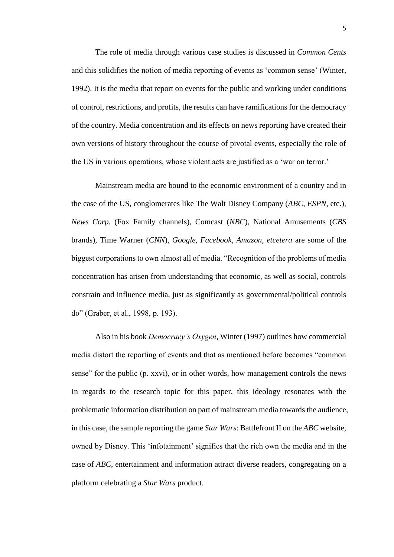The role of media through various case studies is discussed in *Common Cents*  and this solidifies the notion of media reporting of events as 'common sense' (Winter, 1992). It is the media that report on events for the public and working under conditions of control, restrictions, and profits, the results can have ramifications for the democracy of the country. Media concentration and its effects on news reporting have created their own versions of history throughout the course of pivotal events, especially the role of the US in various operations, whose violent acts are justified as a 'war on terror.'

Mainstream media are bound to the economic environment of a country and in the case of the US, conglomerates like The Walt Disney Company (*ABC, ESPN*, etc.), *News Corp.* (Fox Family channels), Comcast (*NBC*), National Amusements (*CBS* brands), Time Warner (*CNN*), *Google*, *Facebook*, *Amazon*, *etcetera* are some of the biggest corporations to own almost all of media. "Recognition of the problems of media concentration has arisen from understanding that economic, as well as social, controls constrain and influence media, just as significantly as governmental/political controls do" (Graber, et al., 1998, p. 193).

Also in his book *Democracy's Oxygen*, Winter (1997) outlines how commercial media distort the reporting of events and that as mentioned before becomes "common sense" for the public (p. xxvi), or in other words, how management controls the news In regards to the research topic for this paper, this ideology resonates with the problematic information distribution on part of mainstream media towards the audience, in this case, the sample reporting the game *Star Wars*: Battlefront II on the *ABC* website, owned by Disney. This 'infotainment' signifies that the rich own the media and in the case of *ABC*, entertainment and information attract diverse readers, congregating on a platform celebrating a *Star Wars* product.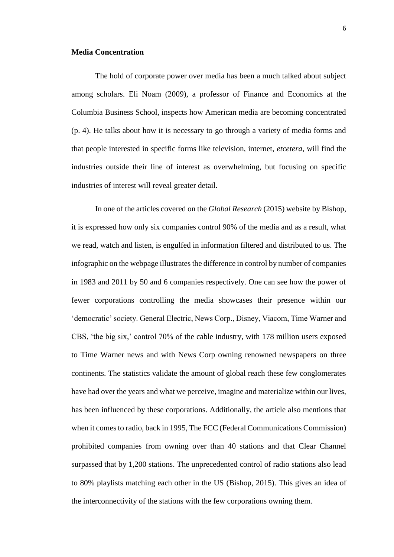#### **Media Concentration**

The hold of corporate power over media has been a much talked about subject among scholars. Eli Noam (2009), a professor of Finance and Economics at the Columbia Business School, inspects how American media are becoming concentrated (p. 4). He talks about how it is necessary to go through a variety of media forms and that people interested in specific forms like television, internet, *etcetera*, will find the industries outside their line of interest as overwhelming, but focusing on specific industries of interest will reveal greater detail.

In one of the articles covered on the *Global Research* (2015) website by Bishop, it is expressed how only six companies control 90% of the media and as a result, what we read, watch and listen, is engulfed in information filtered and distributed to us. The infographic on the webpage illustrates the difference in control by number of companies in 1983 and 2011 by 50 and 6 companies respectively. One can see how the power of fewer corporations controlling the media showcases their presence within our 'democratic' society. General Electric, News Corp., Disney, Viacom, Time Warner and CBS, 'the big six,' control 70% of the cable industry, with 178 million users exposed to Time Warner news and with News Corp owning renowned newspapers on three continents. The statistics validate the amount of global reach these few conglomerates have had over the years and what we perceive, imagine and materialize within our lives, has been influenced by these corporations. Additionally, the article also mentions that when it comes to radio, back in 1995, The FCC (Federal Communications Commission) prohibited companies from owning over than 40 stations and that Clear Channel surpassed that by 1,200 stations. The unprecedented control of radio stations also lead to 80% playlists matching each other in the US (Bishop, 2015). This gives an idea of the interconnectivity of the stations with the few corporations owning them.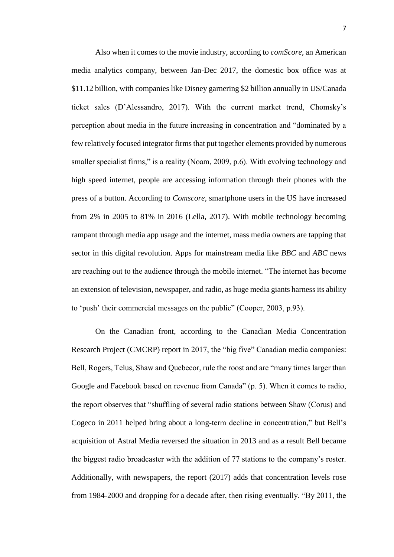Also when it comes to the movie industry, according to *comScore*, an American media analytics company, between Jan-Dec 2017, the domestic box office was at \$11.12 billion, with companies like Disney garnering \$2 billion annually in US/Canada ticket sales (D'Alessandro, 2017). With the current market trend, Chomsky's perception about media in the future increasing in concentration and "dominated by a few relatively focused integrator firms that put together elements provided by numerous smaller specialist firms," is a reality (Noam, 2009, p.6). With evolving technology and high speed internet, people are accessing information through their phones with the press of a button. According to *Comscore,* smartphone users in the US have increased from 2% in 2005 to 81% in 2016 (Lella, 2017). With mobile technology becoming rampant through media app usage and the internet, mass media owners are tapping that sector in this digital revolution. Apps for mainstream media like *BBC* and *ABC* news are reaching out to the audience through the mobile internet. "The internet has become an extension of television, newspaper, and radio, as huge media giants harness its ability to 'push' their commercial messages on the public" (Cooper, 2003, p.93).

On the Canadian front, according to the Canadian Media Concentration Research Project (CMCRP) report in 2017, the "big five" Canadian media companies: Bell, Rogers, Telus, Shaw and Quebecor, rule the roost and are "many times larger than Google and Facebook based on revenue from Canada" (p. 5). When it comes to radio, the report observes that "shuffling of several radio stations between Shaw (Corus) and Cogeco in 2011 helped bring about a long-term decline in concentration," but Bell's acquisition of Astral Media reversed the situation in 2013 and as a result Bell became the biggest radio broadcaster with the addition of 77 stations to the company's roster. Additionally, with newspapers, the report (2017) adds that concentration levels rose from 1984-2000 and dropping for a decade after, then rising eventually. "By 2011, the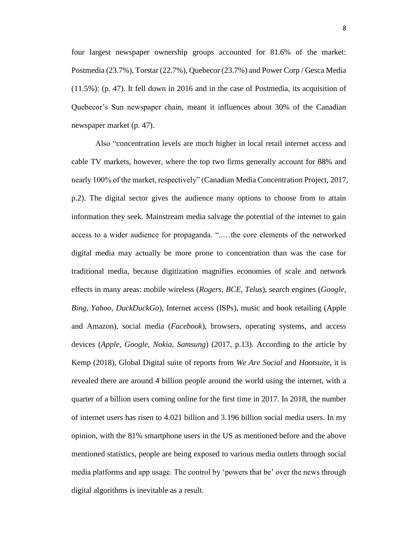four largest newspaper ownership groups accounted for 81.6% of the market: Postmedia (23.7%), Torstar (22.7%), Quebecor (23.7%) and Power Corp / Gesca Media (11.5%): (p. 47). It fell down in 2016 and in the case of Postmedia, its acquisition of Quebecor's Sun newspaper chain, meant it influences about 30% of the Canadian newspaper market (p. 47).

Also "concentration levels are much higher in local retail internet access and cable TV markets, however, where the top two firms generally account for 88% and nearly 100% of the market, respectively" (Canadian Media Concentration Project, 2017, p.2). The digital sector gives the audience many options to choose from to attain information they seek. Mainstream media salvage the potential of the internet to gain access to a wider audience for propaganda. "..…the core elements of the networked digital media may actually be more prone to concentration than was the case for traditional media, because digitization magnifies economies of scale and network effects in many areas: mobile wireless (*Rogers, BCE, Telus*), search engines (*Google, Bing, Yahoo, DuckDuckGo*), Internet access (ISPs), music and book retailing (Apple and Amazon), social media (*Facebook*), browsers, operating systems, and access devices (*Apple, Google, Nokia, Samsung*) (2017, p.13). According to the article by Kemp (2018), Global Digital suite of reports from *We Are Social* and *Hootsuite*, it is revealed there are around 4 billion people around the world using the internet, with a quarter of a billion users coming online for the first time in 2017. In 2018, the number of internet users has risen to 4.021 billion and 3.196 billion social media users. In my opinion, with the 81% smartphone users in the US as mentioned before and the above mentioned statistics, people are being exposed to various media outlets through social media platforms and app usage. The control by 'powers that be' over the news through digital algorithms is inevitable as a result.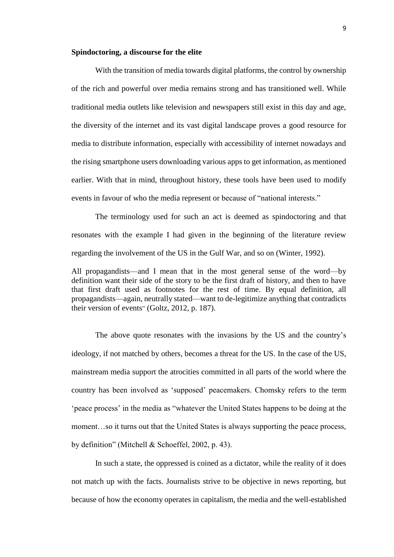#### **Spindoctoring, a discourse for the elite**

With the transition of media towards digital platforms, the control by ownership of the rich and powerful over media remains strong and has transitioned well. While traditional media outlets like television and newspapers still exist in this day and age, the diversity of the internet and its vast digital landscape proves a good resource for media to distribute information, especially with accessibility of internet nowadays and the rising smartphone users downloading various apps to get information, as mentioned earlier. With that in mind, throughout history, these tools have been used to modify events in favour of who the media represent or because of "national interests."

The terminology used for such an act is deemed as spindoctoring and that resonates with the example I had given in the beginning of the literature review regarding the involvement of the US in the Gulf War, and so on (Winter, 1992).

All propagandists—and I mean that in the most general sense of the word—by definition want their side of the story to be the first draft of history, and then to have that first draft used as footnotes for the rest of time. By equal definition, all propagandists—again, neutrally stated—want to de-legitimize anything that contradicts their version of events" (Goltz, 2012, p. 187).

The above quote resonates with the invasions by the US and the country's ideology, if not matched by others, becomes a threat for the US. In the case of the US, mainstream media support the atrocities committed in all parts of the world where the country has been involved as 'supposed' peacemakers. Chomsky refers to the term 'peace process' in the media as "whatever the United States happens to be doing at the moment…so it turns out that the United States is always supporting the peace process, by definition" (Mitchell & Schoeffel, 2002, p. 43).

In such a state, the oppressed is coined as a dictator, while the reality of it does not match up with the facts. Journalists strive to be objective in news reporting, but because of how the economy operates in capitalism, the media and the well-established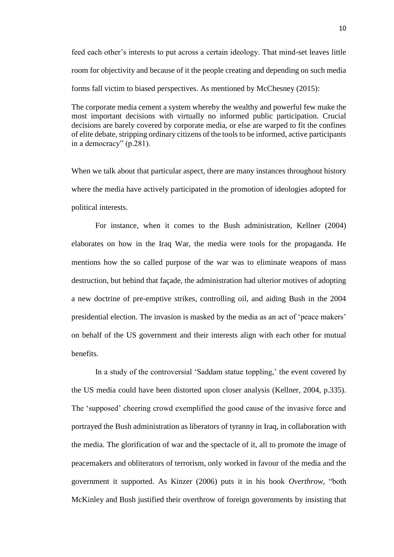feed each other's interests to put across a certain ideology. That mind-set leaves little room for objectivity and because of it the people creating and depending on such media forms fall victim to biased perspectives. As mentioned by McChesney (2015):

The corporate media cement a system whereby the wealthy and powerful few make the most important decisions with virtually no informed public participation. Crucial decisions are barely covered by corporate media, or else are warped to fit the confines of elite debate, stripping ordinary citizens of the tools to be informed, active participants in a democracy" (p.281).

When we talk about that particular aspect, there are many instances throughout history where the media have actively participated in the promotion of ideologies adopted for political interests.

For instance, when it comes to the Bush administration, Kellner (2004) elaborates on how in the Iraq War, the media were tools for the propaganda. He mentions how the so called purpose of the war was to eliminate weapons of mass destruction, but behind that façade, the administration had ulterior motives of adopting a new doctrine of pre-emptive strikes, controlling oil, and aiding Bush in the 2004 presidential election. The invasion is masked by the media as an act of 'peace makers' on behalf of the US government and their interests align with each other for mutual benefits.

In a study of the controversial 'Saddam statue toppling,' the event covered by the US media could have been distorted upon closer analysis (Kellner, 2004, p.335). The 'supposed' cheering crowd exemplified the good cause of the invasive force and portrayed the Bush administration as liberators of tyranny in Iraq, in collaboration with the media. The glorification of war and the spectacle of it, all to promote the image of peacemakers and obliterators of terrorism, only worked in favour of the media and the government it supported. As Kinzer (2006) puts it in his book *Overthrow,* "both McKinley and Bush justified their overthrow of foreign governments by insisting that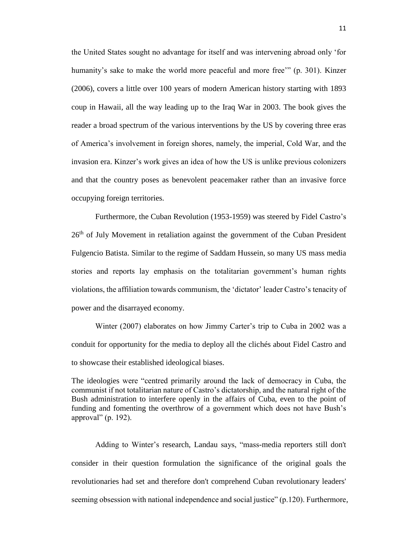the United States sought no advantage for itself and was intervening abroad only 'for humanity's sake to make the world more peaceful and more free'" (p. 301). Kinzer (2006), covers a little over 100 years of modern American history starting with 1893 coup in Hawaii, all the way leading up to the Iraq War in 2003. The book gives the reader a broad spectrum of the various interventions by the US by covering three eras of America's involvement in foreign shores, namely, the imperial, Cold War, and the invasion era. Kinzer's work gives an idea of how the US is unlike previous colonizers and that the country poses as benevolent peacemaker rather than an invasive force occupying foreign territories.

Furthermore, the Cuban Revolution (1953-1959) was steered by Fidel Castro's 26<sup>th</sup> of July Movement in retaliation against the government of the Cuban President Fulgencio Batista. Similar to the regime of Saddam Hussein, so many US mass media stories and reports lay emphasis on the totalitarian government's human rights violations, the affiliation towards communism, the 'dictator' leader Castro's tenacity of power and the disarrayed economy.

Winter (2007) elaborates on how Jimmy Carter's trip to Cuba in 2002 was a conduit for opportunity for the media to deploy all the clichés about Fidel Castro and to showcase their established ideological biases.

The ideologies were "centred primarily around the lack of democracy in Cuba, the communist if not totalitarian nature of Castro's dictatorship, and the natural right of the Bush administration to interfere openly in the affairs of Cuba, even to the point of funding and fomenting the overthrow of a government which does not have Bush's approval" (p. 192).

Adding to Winter's research, Landau says, "mass-media reporters still don't consider in their question formulation the significance of the original goals the revolutionaries had set and therefore don't comprehend Cuban revolutionary leaders' seeming obsession with national independence and social justice" (p.120). Furthermore,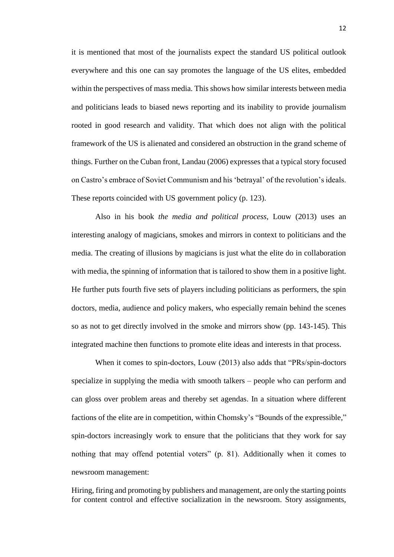it is mentioned that most of the journalists expect the standard US political outlook everywhere and this one can say promotes the language of the US elites, embedded within the perspectives of mass media. This shows how similar interests between media and politicians leads to biased news reporting and its inability to provide journalism rooted in good research and validity. That which does not align with the political framework of the US is alienated and considered an obstruction in the grand scheme of things. Further on the Cuban front, Landau (2006) expresses that a typical story focused on Castro's embrace of Soviet Communism and his 'betrayal' of the revolution's ideals. These reports coincided with US government policy (p. 123).

Also in his book *the media and political process,* Louw (2013) uses an interesting analogy of magicians, smokes and mirrors in context to politicians and the media. The creating of illusions by magicians is just what the elite do in collaboration with media, the spinning of information that is tailored to show them in a positive light. He further puts fourth five sets of players including politicians as performers, the spin doctors, media, audience and policy makers, who especially remain behind the scenes so as not to get directly involved in the smoke and mirrors show (pp. 143-145). This integrated machine then functions to promote elite ideas and interests in that process.

When it comes to spin-doctors, Louw (2013) also adds that "PRs/spin-doctors specialize in supplying the media with smooth talkers – people who can perform and can gloss over problem areas and thereby set agendas. In a situation where different factions of the elite are in competition, within Chomsky's "Bounds of the expressible," spin-doctors increasingly work to ensure that the politicians that they work for say nothing that may offend potential voters" (p. 81). Additionally when it comes to newsroom management:

Hiring, firing and promoting by publishers and management, are only the starting points for content control and effective socialization in the newsroom. Story assignments,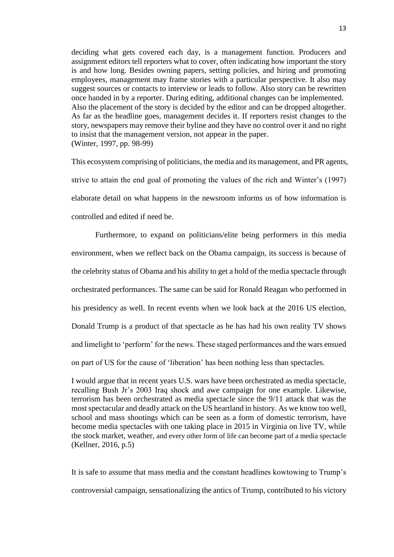deciding what gets covered each day, is a management function. Producers and assignment editors tell reporters what to cover, often indicating how important the story is and how long. Besides owning papers, setting policies, and hiring and promoting employees, management may frame stories with a particular perspective. It also may suggest sources or contacts to interview or leads to follow. Also story can be rewritten once handed in by a reporter. During editing, additional changes can be implemented. Also the placement of the story is decided by the editor and can be dropped altogether. As far as the headline goes, management decides it. If reporters resist changes to the story, newspapers may remove their byline and they have no control over it and no right to insist that the management version, not appear in the paper. (Winter, 1997, pp. 98-99)

This ecosystem comprising of politicians, the media and its management, and PR agents, strive to attain the end goal of promoting the values of the rich and Winter's (1997) elaborate detail on what happens in the newsroom informs us of how information is controlled and edited if need be.

Furthermore, to expand on politicians/elite being performers in this media environment, when we reflect back on the Obama campaign, its success is because of the celebrity status of Obama and his ability to get a hold of the media spectacle through orchestrated performances. The same can be said for Ronald Reagan who performed in his presidency as well. In recent events when we look back at the 2016 US election, Donald Trump is a product of that spectacle as he has had his own reality TV shows and limelight to 'perform' for the news. These staged performances and the wars ensued on part of US for the cause of 'liberation' has been nothing less than spectacles.

I would argue that in recent years U.S. wars have been orchestrated as media spectacle, recalling Bush Jr's 2003 Iraq shock and awe campaign for one example. Likewise, terrorism has been orchestrated as media spectacle since the 9/11 attack that was the most spectacular and deadly attack on the US heartland in history. As we know too well, school and mass shootings which can be seen as a form of domestic terrorism, have become media spectacles with one taking place in 2015 in Virginia on live TV, while the stock market, weather, and every other form of life can become part of a media spectacle (Kellner, 2016, p.5)

It is safe to assume that mass media and the constant headlines kowtowing to Trump's controversial campaign, sensationalizing the antics of Trump, contributed to his victory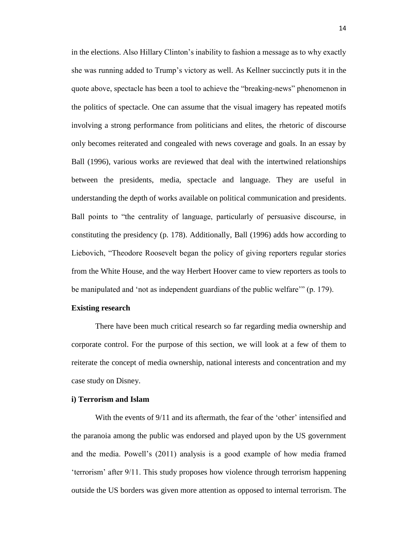in the elections. Also Hillary Clinton's inability to fashion a message as to why exactly she was running added to Trump's victory as well. As Kellner succinctly puts it in the quote above, spectacle has been a tool to achieve the "breaking-news" phenomenon in the politics of spectacle. One can assume that the visual imagery has repeated motifs involving a strong performance from politicians and elites, the rhetoric of discourse only becomes reiterated and congealed with news coverage and goals. In an essay by Ball (1996), various works are reviewed that deal with the intertwined relationships between the presidents, media, spectacle and language. They are useful in understanding the depth of works available on political communication and presidents. Ball points to "the centrality of language, particularly of persuasive discourse, in constituting the presidency (p. 178). Additionally, Ball (1996) adds how according to Liebovich, "Theodore Roosevelt began the policy of giving reporters regular stories from the White House, and the way Herbert Hoover came to view reporters as tools to be manipulated and 'not as independent guardians of the public welfare'" (p. 179).

#### **Existing research**

There have been much critical research so far regarding media ownership and corporate control. For the purpose of this section, we will look at a few of them to reiterate the concept of media ownership, national interests and concentration and my case study on Disney.

#### **i) Terrorism and Islam**

With the events of 9/11 and its aftermath, the fear of the 'other' intensified and the paranoia among the public was endorsed and played upon by the US government and the media. Powell's (2011) analysis is a good example of how media framed 'terrorism' after 9/11. This study proposes how violence through terrorism happening outside the US borders was given more attention as opposed to internal terrorism. The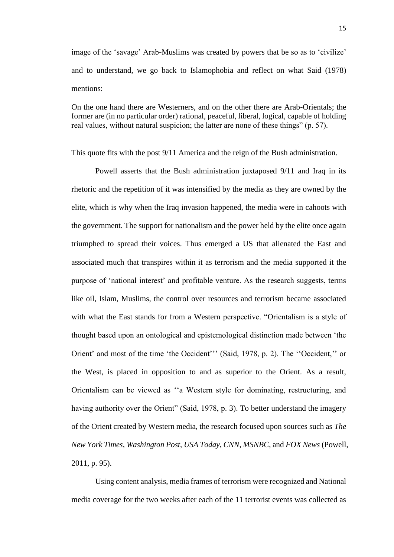image of the 'savage' Arab-Muslims was created by powers that be so as to 'civilize' and to understand, we go back to Islamophobia and reflect on what Said (1978) mentions:

On the one hand there are Westerners, and on the other there are Arab-Orientals; the former are (in no particular order) rational, peaceful, liberal, logical, capable of holding real values, without natural suspicion; the latter are none of these things" (p. 57).

This quote fits with the post 9/11 America and the reign of the Bush administration.

Powell asserts that the Bush administration juxtaposed 9/11 and Iraq in its rhetoric and the repetition of it was intensified by the media as they are owned by the elite, which is why when the Iraq invasion happened, the media were in cahoots with the government. The support for nationalism and the power held by the elite once again triumphed to spread their voices. Thus emerged a US that alienated the East and associated much that transpires within it as terrorism and the media supported it the purpose of 'national interest' and profitable venture. As the research suggests, terms like oil, Islam, Muslims, the control over resources and terrorism became associated with what the East stands for from a Western perspective. "Orientalism is a style of thought based upon an ontological and epistemological distinction made between 'the Orient' and most of the time 'the Occident''' (Said, 1978, p. 2). The ''Occident,'' or the West, is placed in opposition to and as superior to the Orient. As a result, Orientalism can be viewed as ''a Western style for dominating, restructuring, and having authority over the Orient" (Said, 1978, p. 3). To better understand the imagery of the Orient created by Western media, the research focused upon sources such as *The New York Times*, *Washington Post*, *USA Today*, *CNN*, *MSNBC*, and *FOX News* (Powell, 2011, p. 95).

Using content analysis, media frames of terrorism were recognized and National media coverage for the two weeks after each of the 11 terrorist events was collected as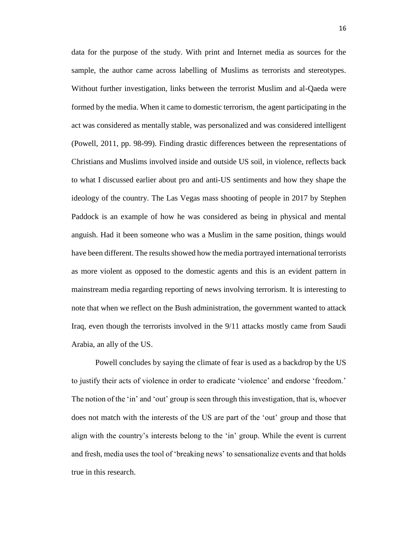data for the purpose of the study. With print and Internet media as sources for the sample, the author came across labelling of Muslims as terrorists and stereotypes. Without further investigation, links between the terrorist Muslim and al-Qaeda were formed by the media. When it came to domestic terrorism, the agent participating in the act was considered as mentally stable, was personalized and was considered intelligent (Powell, 2011, pp. 98-99). Finding drastic differences between the representations of Christians and Muslims involved inside and outside US soil, in violence, reflects back to what I discussed earlier about pro and anti-US sentiments and how they shape the ideology of the country. The Las Vegas mass shooting of people in 2017 by Stephen Paddock is an example of how he was considered as being in physical and mental anguish. Had it been someone who was a Muslim in the same position, things would have been different. The results showed how the media portrayed international terrorists as more violent as opposed to the domestic agents and this is an evident pattern in mainstream media regarding reporting of news involving terrorism. It is interesting to note that when we reflect on the Bush administration, the government wanted to attack Iraq, even though the terrorists involved in the 9/11 attacks mostly came from Saudi Arabia, an ally of the US.

Powell concludes by saying the climate of fear is used as a backdrop by the US to justify their acts of violence in order to eradicate 'violence' and endorse 'freedom.' The notion of the 'in' and 'out' group is seen through this investigation, that is, whoever does not match with the interests of the US are part of the 'out' group and those that align with the country's interests belong to the 'in' group. While the event is current and fresh, media uses the tool of 'breaking news' to sensationalize events and that holds true in this research.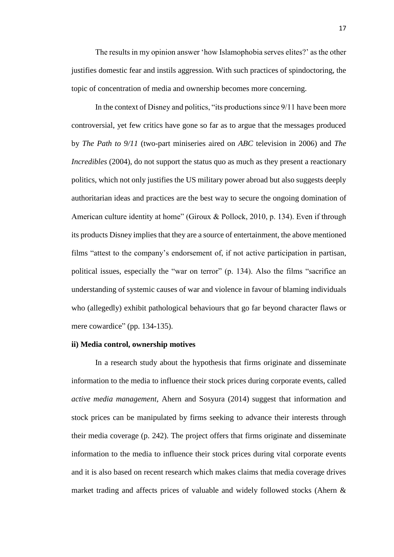The results in my opinion answer 'how Islamophobia serves elites?' as the other justifies domestic fear and instils aggression. With such practices of spindoctoring, the topic of concentration of media and ownership becomes more concerning.

In the context of Disney and politics, "its productions since 9/11 have been more controversial, yet few critics have gone so far as to argue that the messages produced by *The Path to 9/11* (two-part miniseries aired on *ABC* television in 2006) and *The Incredibles* (2004), do not support the status quo as much as they present a reactionary politics, which not only justifies the US military power abroad but also suggests deeply authoritarian ideas and practices are the best way to secure the ongoing domination of American culture identity at home" (Giroux & Pollock, 2010, p. 134). Even if through its products Disney implies that they are a source of entertainment, the above mentioned films "attest to the company's endorsement of, if not active participation in partisan, political issues, especially the "war on terror" (p. 134). Also the films "sacrifice an understanding of systemic causes of war and violence in favour of blaming individuals who (allegedly) exhibit pathological behaviours that go far beyond character flaws or mere cowardice" (pp. 134-135).

#### **ii) Media control, ownership motives**

In a research study about the hypothesis that firms originate and disseminate information to the media to influence their stock prices during corporate events, called *active media management*, Ahern and Sosyura (2014) suggest that information and stock prices can be manipulated by firms seeking to advance their interests through their media coverage (p. 242). The project offers that firms originate and disseminate information to the media to influence their stock prices during vital corporate events and it is also based on recent research which makes claims that media coverage drives market trading and affects prices of valuable and widely followed stocks (Ahern &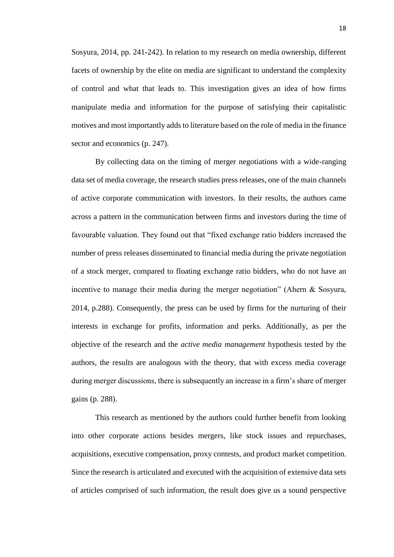Sosyura, 2014, pp. 241-242). In relation to my research on media ownership, different facets of ownership by the elite on media are significant to understand the complexity of control and what that leads to. This investigation gives an idea of how firms manipulate media and information for the purpose of satisfying their capitalistic motives and most importantly adds to literature based on the role of media in the finance sector and economics (p. 247).

By collecting data on the timing of merger negotiations with a wide-ranging data set of media coverage, the research studies press releases, one of the main channels of active corporate communication with investors. In their results, the authors came across a pattern in the communication between firms and investors during the time of favourable valuation. They found out that "fixed exchange ratio bidders increased the number of press releases disseminated to financial media during the private negotiation of a stock merger, compared to floating exchange ratio bidders, who do not have an incentive to manage their media during the merger negotiation" (Ahern & Sosyura, 2014, p.288). Consequently, the press can be used by firms for the nurturing of their interests in exchange for profits, information and perks. Additionally, as per the objective of the research and the *active media management* hypothesis tested by the authors, the results are analogous with the theory, that with excess media coverage during merger discussions, there is subsequently an increase in a firm's share of merger gains (p. 288).

This research as mentioned by the authors could further benefit from looking into other corporate actions besides mergers, like stock issues and repurchases, acquisitions, executive compensation, proxy contests, and product market competition. Since the research is articulated and executed with the acquisition of extensive data sets of articles comprised of such information, the result does give us a sound perspective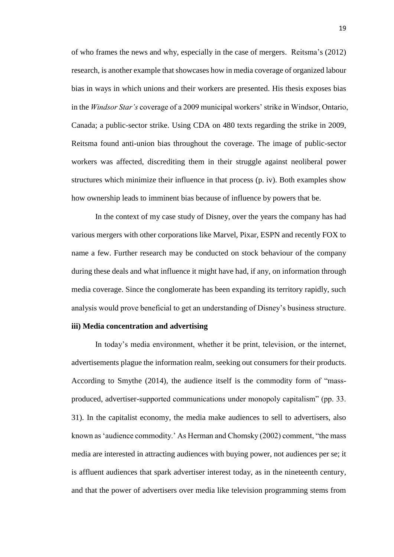of who frames the news and why, especially in the case of mergers. Reitsma's (2012) research, is another example that showcases how in media coverage of organized labour bias in ways in which unions and their workers are presented. His thesis exposes bias in the *Windsor Star's* coverage of a 2009 municipal workers' strike in Windsor, Ontario, Canada; a public-sector strike. Using CDA on 480 texts regarding the strike in 2009, Reitsma found anti-union bias throughout the coverage. The image of public-sector workers was affected, discrediting them in their struggle against neoliberal power structures which minimize their influence in that process (p. iv). Both examples show how ownership leads to imminent bias because of influence by powers that be.

In the context of my case study of Disney, over the years the company has had various mergers with other corporations like Marvel, Pixar, ESPN and recently FOX to name a few. Further research may be conducted on stock behaviour of the company during these deals and what influence it might have had, if any, on information through media coverage. Since the conglomerate has been expanding its territory rapidly, such analysis would prove beneficial to get an understanding of Disney's business structure.

#### **iii) Media concentration and advertising**

In today's media environment, whether it be print, television, or the internet, advertisements plague the information realm, seeking out consumers for their products. According to Smythe (2014), the audience itself is the commodity form of "massproduced, advertiser-supported communications under monopoly capitalism" (pp. 33. 31). In the capitalist economy, the media make audiences to sell to advertisers, also known as 'audience commodity.' As Herman and Chomsky (2002) comment, "the mass media are interested in attracting audiences with buying power, not audiences per se; it is affluent audiences that spark advertiser interest today, as in the nineteenth century, and that the power of advertisers over media like television programming stems from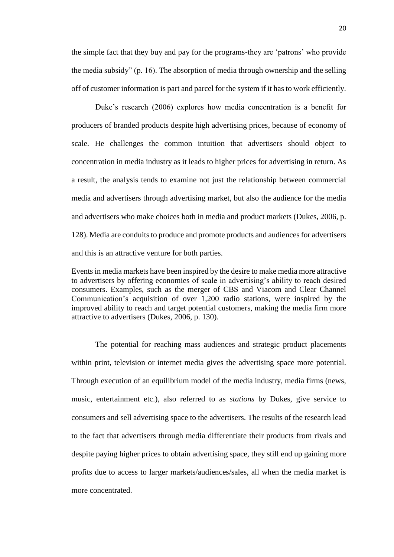the simple fact that they buy and pay for the programs-they are 'patrons' who provide the media subsidy" (p. 16). The absorption of media through ownership and the selling off of customer information is part and parcel for the system if it has to work efficiently.

Duke's research (2006) explores how media concentration is a benefit for producers of branded products despite high advertising prices, because of economy of scale. He challenges the common intuition that advertisers should object to concentration in media industry as it leads to higher prices for advertising in return. As a result, the analysis tends to examine not just the relationship between commercial media and advertisers through advertising market, but also the audience for the media and advertisers who make choices both in media and product markets (Dukes, 2006, p. 128). Media are conduits to produce and promote products and audiences for advertisers and this is an attractive venture for both parties.

Events in media markets have been inspired by the desire to make media more attractive to advertisers by offering economies of scale in advertising's ability to reach desired consumers. Examples, such as the merger of CBS and Viacom and Clear Channel Communication's acquisition of over 1,200 radio stations, were inspired by the improved ability to reach and target potential customers, making the media firm more attractive to advertisers (Dukes, 2006, p. 130).

The potential for reaching mass audiences and strategic product placements within print, television or internet media gives the advertising space more potential. Through execution of an equilibrium model of the media industry, media firms (news, music, entertainment etc.), also referred to as *stations* by Dukes, give service to consumers and sell advertising space to the advertisers. The results of the research lead to the fact that advertisers through media differentiate their products from rivals and despite paying higher prices to obtain advertising space, they still end up gaining more profits due to access to larger markets/audiences/sales, all when the media market is more concentrated.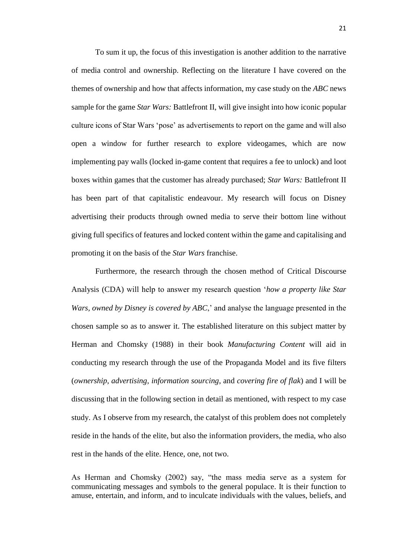To sum it up, the focus of this investigation is another addition to the narrative of media control and ownership. Reflecting on the literature I have covered on the themes of ownership and how that affects information, my case study on the *ABC* news sample for the game *Star Wars:* Battlefront II, will give insight into how iconic popular culture icons of Star Wars 'pose' as advertisements to report on the game and will also open a window for further research to explore videogames, which are now implementing pay walls (locked in-game content that requires a fee to unlock) and loot boxes within games that the customer has already purchased; *Star Wars:* Battlefront II has been part of that capitalistic endeavour. My research will focus on Disney advertising their products through owned media to serve their bottom line without giving full specifics of features and locked content within the game and capitalising and promoting it on the basis of the *Star Wars* franchise.

Furthermore, the research through the chosen method of Critical Discourse Analysis (CDA) will help to answer my research question '*how a property like Star Wars, owned by Disney is covered by ABC*,' and analyse the language presented in the chosen sample so as to answer it. The established literature on this subject matter by Herman and Chomsky (1988) in their book *Manufacturing Content* will aid in conducting my research through the use of the Propaganda Model and its five filters (*ownership*, *advertising*, *information sourcing*, and *covering fire of flak*) and I will be discussing that in the following section in detail as mentioned, with respect to my case study. As I observe from my research, the catalyst of this problem does not completely reside in the hands of the elite, but also the information providers, the media, who also rest in the hands of the elite. Hence, one, not two.

As Herman and Chomsky (2002) say, "the mass media serve as a system for communicating messages and symbols to the general populace. It is their function to amuse, entertain, and inform, and to inculcate individuals with the values, beliefs, and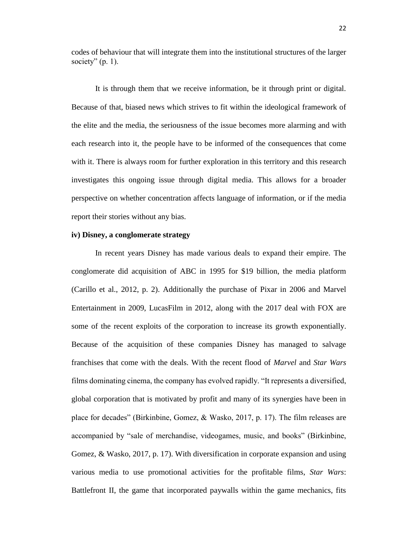codes of behaviour that will integrate them into the institutional structures of the larger society"  $(p. 1)$ .

It is through them that we receive information, be it through print or digital. Because of that, biased news which strives to fit within the ideological framework of the elite and the media, the seriousness of the issue becomes more alarming and with each research into it, the people have to be informed of the consequences that come with it. There is always room for further exploration in this territory and this research investigates this ongoing issue through digital media. This allows for a broader perspective on whether concentration affects language of information, or if the media report their stories without any bias.

#### **iv) Disney, a conglomerate strategy**

In recent years Disney has made various deals to expand their empire. The conglomerate did acquisition of ABC in 1995 for \$19 billion, the media platform (Carillo et al., 2012, p. 2). Additionally the purchase of Pixar in 2006 and Marvel Entertainment in 2009, LucasFilm in 2012, along with the 2017 deal with FOX are some of the recent exploits of the corporation to increase its growth exponentially. Because of the acquisition of these companies Disney has managed to salvage franchises that come with the deals. With the recent flood of *Marvel* and *Star Wars*  films dominating cinema, the company has evolved rapidly. "It represents a diversified, global corporation that is motivated by profit and many of its synergies have been in place for decades" (Birkinbine, Gomez, & Wasko, 2017, p. 17). The film releases are accompanied by "sale of merchandise, videogames, music, and books" (Birkinbine, Gomez, & Wasko, 2017, p. 17). With diversification in corporate expansion and using various media to use promotional activities for the profitable films, *Star Wars*: Battlefront II, the game that incorporated paywalls within the game mechanics, fits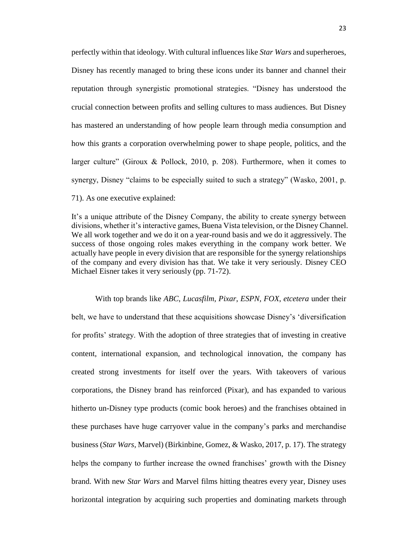perfectly within that ideology. With cultural influences like *Star Wars* and superheroes, Disney has recently managed to bring these icons under its banner and channel their reputation through synergistic promotional strategies. "Disney has understood the crucial connection between profits and selling cultures to mass audiences. But Disney has mastered an understanding of how people learn through media consumption and how this grants a corporation overwhelming power to shape people, politics, and the larger culture" (Giroux & Pollock, 2010, p. 208). Furthermore, when it comes to synergy, Disney "claims to be especially suited to such a strategy" (Wasko, 2001, p. 71). As one executive explained:

It's a unique attribute of the Disney Company, the ability to create synergy between divisions, whether it's interactive games, Buena Vista television, or the Disney Channel. We all work together and we do it on a year-round basis and we do it aggressively. The success of those ongoing roles makes everything in the company work better. We actually have people in every division that are responsible for the synergy relationships of the company and every division has that. We take it very seriously. Disney CEO Michael Eisner takes it very seriously (pp. 71-72).

With top brands like *ABC*, *Lucasfilm*, *Pixar*, *ESPN*, *FOX*, *etcetera* under their belt, we have to understand that these acquisitions showcase Disney's 'diversification for profits' strategy. With the adoption of three strategies that of investing in creative content, international expansion, and technological innovation, the company has created strong investments for itself over the years. With takeovers of various corporations, the Disney brand has reinforced (Pixar), and has expanded to various hitherto un-Disney type products (comic book heroes) and the franchises obtained in these purchases have huge carryover value in the company's parks and merchandise business (*Star Wars*, Marvel) (Birkinbine, Gomez, & Wasko, 2017, p. 17). The strategy helps the company to further increase the owned franchises' growth with the Disney brand. With new *Star Wars* and Marvel films hitting theatres every year, Disney uses horizontal integration by acquiring such properties and dominating markets through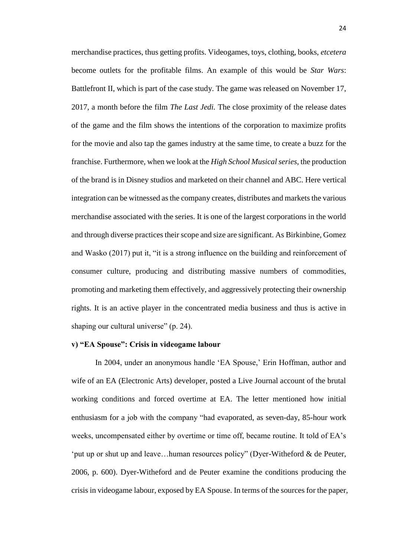merchandise practices, thus getting profits. Videogames, toys, clothing, books, *etcetera*  become outlets for the profitable films. An example of this would be *Star Wars*: Battlefront II, which is part of the case study. The game was released on November 17, 2017, a month before the film *The Last Jedi.* The close proximity of the release dates of the game and the film shows the intentions of the corporation to maximize profits for the movie and also tap the games industry at the same time, to create a buzz for the franchise. Furthermore, when we look at the *High School Musical series*, the production of the brand is in Disney studios and marketed on their channel and ABC. Here vertical integration can be witnessed as the company creates, distributes and markets the various merchandise associated with the series. It is one of the largest corporations in the world and through diverse practices their scope and size are significant. As Birkinbine, Gomez and Wasko (2017) put it, "it is a strong influence on the building and reinforcement of consumer culture, producing and distributing massive numbers of commodities, promoting and marketing them effectively, and aggressively protecting their ownership rights. It is an active player in the concentrated media business and thus is active in shaping our cultural universe" (p. 24).

#### **v) "EA Spouse": Crisis in videogame labour**

In 2004, under an anonymous handle 'EA Spouse,' Erin Hoffman, author and wife of an EA (Electronic Arts) developer, posted a Live Journal account of the brutal working conditions and forced overtime at EA. The letter mentioned how initial enthusiasm for a job with the company "had evaporated, as seven-day, 85-hour work weeks, uncompensated either by overtime or time off, became routine. It told of EA's 'put up or shut up and leave…human resources policy" (Dyer-Witheford & de Peuter, 2006, p. 600). Dyer-Witheford and de Peuter examine the conditions producing the crisis in videogame labour, exposed by EA Spouse. In terms of the sources for the paper,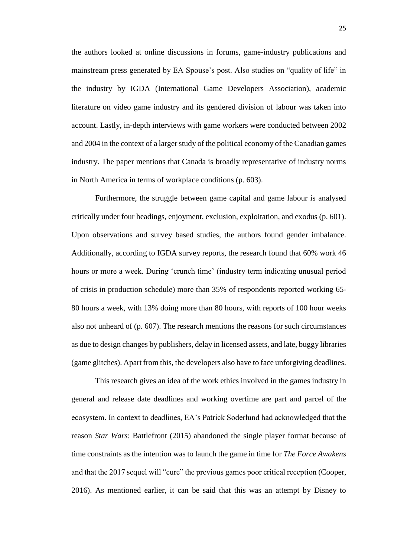the authors looked at online discussions in forums, game-industry publications and mainstream press generated by EA Spouse's post. Also studies on "quality of life" in the industry by IGDA (International Game Developers Association), academic literature on video game industry and its gendered division of labour was taken into account. Lastly, in-depth interviews with game workers were conducted between 2002 and 2004 in the context of a larger study of the political economy of the Canadian games industry. The paper mentions that Canada is broadly representative of industry norms in North America in terms of workplace conditions (p. 603).

Furthermore, the struggle between game capital and game labour is analysed critically under four headings, enjoyment, exclusion, exploitation, and exodus (p. 601). Upon observations and survey based studies, the authors found gender imbalance. Additionally, according to IGDA survey reports, the research found that 60% work 46 hours or more a week. During 'crunch time' (industry term indicating unusual period of crisis in production schedule) more than 35% of respondents reported working 65- 80 hours a week, with 13% doing more than 80 hours, with reports of 100 hour weeks also not unheard of (p. 607). The research mentions the reasons for such circumstances as due to design changes by publishers, delay in licensed assets, and late, buggy libraries (game glitches). Apart from this, the developers also have to face unforgiving deadlines.

This research gives an idea of the work ethics involved in the games industry in general and release date deadlines and working overtime are part and parcel of the ecosystem. In context to deadlines, EA's Patrick Soderlund had acknowledged that the reason *Star Wars*: Battlefront (2015) abandoned the single player format because of time constraints as the intention was to launch the game in time for *The Force Awakens*  and that the 2017 sequel will "cure" the previous games poor critical reception (Cooper, 2016). As mentioned earlier, it can be said that this was an attempt by Disney to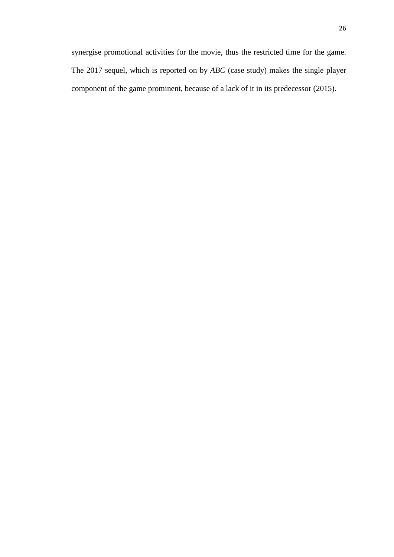synergise promotional activities for the movie, thus the restricted time for the game. The 2017 sequel, which is reported on by *ABC* (case study) makes the single player component of the game prominent, because of a lack of it in its predecessor (2015).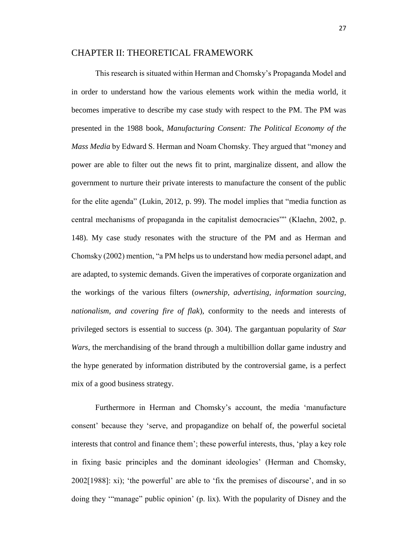#### CHAPTER II: THEORETICAL FRAMEWORK

This research is situated within Herman and Chomsky's Propaganda Model and in order to understand how the various elements work within the media world, it becomes imperative to describe my case study with respect to the PM. The PM was presented in the 1988 book, *Manufacturing Consent: The Political Economy of the Mass Media* by Edward S. Herman and Noam Chomsky. They argued that "money and power are able to filter out the news fit to print, marginalize dissent, and allow the government to nurture their private interests to manufacture the consent of the public for the elite agenda" (Lukin, 2012, p. 99). The model implies that "media function as central mechanisms of propaganda in the capitalist democracies"" (Klaehn, 2002, p. 148). My case study resonates with the structure of the PM and as Herman and Chomsky (2002) mention, "a PM helps us to understand how media personel adapt, and are adapted, to systemic demands. Given the imperatives of corporate organization and the workings of the various filters (*ownership, advertising, information sourcing, nationalism, and covering fire of flak*), conformity to the needs and interests of privileged sectors is essential to success (p. 304). The gargantuan popularity of *Star Wars*, the merchandising of the brand through a multibillion dollar game industry and the hype generated by information distributed by the controversial game, is a perfect mix of a good business strategy.

Furthermore in Herman and Chomsky's account, the media 'manufacture consent' because they 'serve, and propagandize on behalf of, the powerful societal interests that control and finance them'; these powerful interests, thus, 'play a key role in fixing basic principles and the dominant ideologies' (Herman and Chomsky, 2002[1988]: xi); 'the powerful' are able to 'fix the premises of discourse', and in so doing they '"manage" public opinion' (p. lix). With the popularity of Disney and the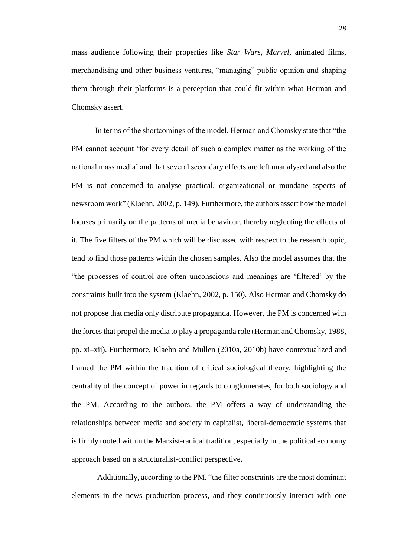mass audience following their properties like *Star Wars*, *Marvel*, animated films, merchandising and other business ventures, "managing" public opinion and shaping them through their platforms is a perception that could fit within what Herman and Chomsky assert.

In terms of the shortcomings of the model, Herman and Chomsky state that "the PM cannot account 'for every detail of such a complex matter as the working of the national mass media' and that several secondary effects are left unanalysed and also the PM is not concerned to analyse practical, organizational or mundane aspects of newsroom work" (Klaehn, 2002, p. 149). Furthermore, the authors assert how the model focuses primarily on the patterns of media behaviour, thereby neglecting the effects of it. The five filters of the PM which will be discussed with respect to the research topic, tend to find those patterns within the chosen samples. Also the model assumes that the "the processes of control are often unconscious and meanings are 'filtered' by the constraints built into the system (Klaehn, 2002, p. 150). Also Herman and Chomsky do not propose that media only distribute propaganda. However, the PM is concerned with the forces that propel the media to play a propaganda role (Herman and Chomsky, 1988, pp. xi–xii). Furthermore, Klaehn and Mullen (2010a, 2010b) have contextualized and framed the PM within the tradition of critical sociological theory, highlighting the centrality of the concept of power in regards to conglomerates, for both sociology and the PM. According to the authors, the PM offers a way of understanding the relationships between media and society in capitalist, liberal-democratic systems that is firmly rooted within the Marxist-radical tradition, especially in the political economy approach based on a structuralist-conflict perspective.

Additionally, according to the PM, "the filter constraints are the most dominant elements in the news production process, and they continuously interact with one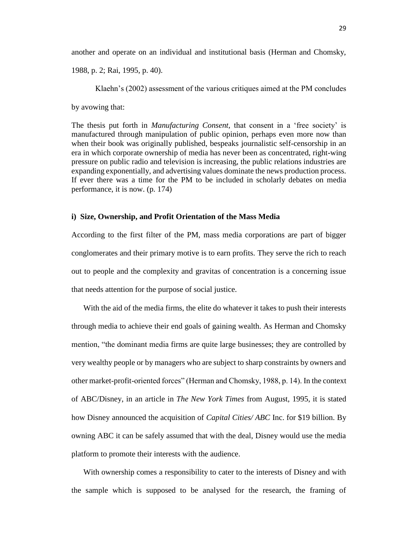another and operate on an individual and institutional basis (Herman and Chomsky,

1988, p. 2; Rai, 1995, p. 40).

Klaehn's (2002) assessment of the various critiques aimed at the PM concludes by avowing that:

The thesis put forth in *Manufacturing Consent,* that consent in a 'free society' is manufactured through manipulation of public opinion, perhaps even more now than when their book was originally published, bespeaks journalistic self-censorship in an era in which corporate ownership of media has never been as concentrated, right-wing pressure on public radio and television is increasing, the public relations industries are expanding exponentially, and advertising values dominate the news production process. If ever there was a time for the PM to be included in scholarly debates on media performance, it is now. (p. 174)

## **i) Size, Ownership, and Profit Orientation of the Mass Media**

According to the first filter of the PM, mass media corporations are part of bigger conglomerates and their primary motive is to earn profits. They serve the rich to reach out to people and the complexity and gravitas of concentration is a concerning issue that needs attention for the purpose of social justice.

With the aid of the media firms, the elite do whatever it takes to push their interests through media to achieve their end goals of gaining wealth. As Herman and Chomsky mention, "the dominant media firms are quite large businesses; they are controlled by very wealthy people or by managers who are subject to sharp constraints by owners and other market-profit-oriented forces" (Herman and Chomsky, 1988, p. 14). In the context of ABC/Disney, in an article in *The New York Times* from August, 1995, it is stated how Disney announced the acquisition of *Capital Cities/ ABC* Inc. for \$19 billion. By owning ABC it can be safely assumed that with the deal, Disney would use the media platform to promote their interests with the audience.

With ownership comes a responsibility to cater to the interests of Disney and with the sample which is supposed to be analysed for the research, the framing of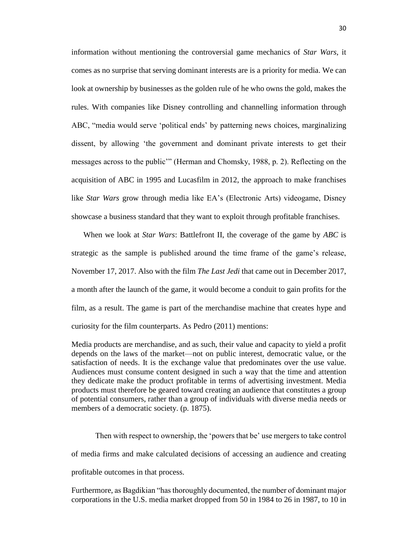information without mentioning the controversial game mechanics of *Star Wars*, it comes as no surprise that serving dominant interests are is a priority for media. We can look at ownership by businesses as the golden rule of he who owns the gold, makes the rules. With companies like Disney controlling and channelling information through ABC, "media would serve 'political ends' by patterning news choices, marginalizing dissent, by allowing 'the government and dominant private interests to get their messages across to the public'" (Herman and Chomsky, 1988, p. 2). Reflecting on the acquisition of ABC in 1995 and Lucasfilm in 2012, the approach to make franchises like *Star Wars* grow through media like EA's (Electronic Arts) videogame, Disney showcase a business standard that they want to exploit through profitable franchises.

When we look at *Star Wars*: Battlefront II, the coverage of the game by *ABC* is strategic as the sample is published around the time frame of the game's release, November 17, 2017. Also with the film *The Last Jedi* that came out in December 2017, a month after the launch of the game, it would become a conduit to gain profits for the film, as a result. The game is part of the merchandise machine that creates hype and curiosity for the film counterparts. As Pedro (2011) mentions:

Media products are merchandise, and as such, their value and capacity to yield a profit depends on the laws of the market—not on public interest, democratic value, or the satisfaction of needs. It is the exchange value that predominates over the use value. Audiences must consume content designed in such a way that the time and attention they dedicate make the product profitable in terms of advertising investment. Media products must therefore be geared toward creating an audience that constitutes a group of potential consumers, rather than a group of individuals with diverse media needs or members of a democratic society. (p. 1875).

Then with respect to ownership, the 'powers that be' use mergers to take control of media firms and make calculated decisions of accessing an audience and creating profitable outcomes in that process.

Furthermore, as Bagdikian "has thoroughly documented, the number of dominant major corporations in the U.S. media market dropped from 50 in 1984 to 26 in 1987, to 10 in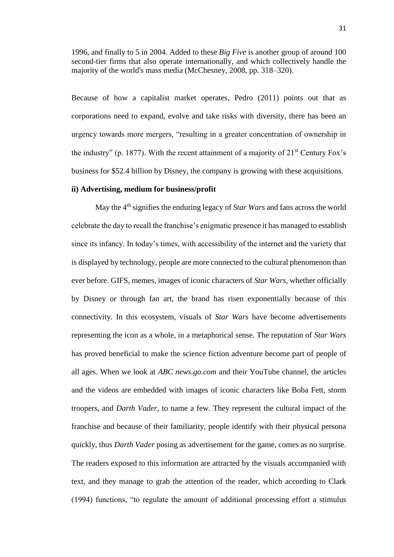1996, and finally to 5 in 2004. Added to these *Big Five* is another group of around 100 second-tier firms that also operate internationally, and which collectively handle the majority of the world's mass media (McChesney, 2008, pp. 318–320).

Because of how a capitalist market operates, Pedro (2011) points out that as corporations need to expand, evolve and take risks with diversity, there has been an urgency towards more mergers, "resulting in a greater concentration of ownership in the industry" (p. 1877). With the recent attainment of a majority of  $21<sup>st</sup>$  Century Fox's business for \$52.4 billion by Disney, the company is growing with these acquisitions.

## **ii) Advertising, medium for business/profit**

May the 4<sup>th</sup> signifies the enduring legacy of *Star Wars* and fans across the world celebrate the day to recall the franchise's enigmatic presence it has managed to establish since its infancy. In today's times, with accessibility of the internet and the variety that is displayed by technology, people are more connected to the cultural phenomenon than ever before. GIFS, memes, images of iconic characters of *Star Wars*, whether officially by Disney or through fan art, the brand has risen exponentially because of this connectivity. In this ecosystem, visuals of *Star Wars* have become advertisements representing the icon as a whole, in a metaphorical sense. The reputation of *Star Wars* has proved beneficial to make the science fiction adventure become part of people of all ages. When we look at *ABC news.go.com* and their YouTube channel, the articles and the videos are embedded with images of iconic characters like Boba Fett, storm troopers, and *Darth Vader*, to name a few. They represent the cultural impact of the franchise and because of their familiarity, people identify with their physical persona quickly, thus *Darth Vader* posing as advertisement for the game, comes as no surprise. The readers exposed to this information are attracted by the visuals accompanied with text, and they manage to grab the attention of the reader, which according to Clark (1994) functions, "to regulate the amount of additional processing effort a stimulus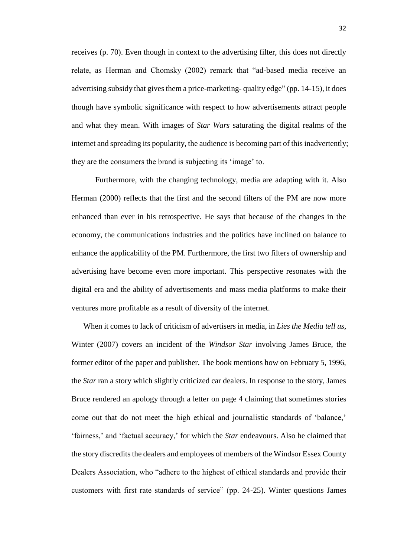receives (p. 70). Even though in context to the advertising filter, this does not directly relate, as Herman and Chomsky (2002) remark that "ad-based media receive an advertising subsidy that gives them a price-marketing- quality edge" (pp. 14-15), it does though have symbolic significance with respect to how advertisements attract people and what they mean. With images of *Star Wars* saturating the digital realms of the internet and spreading its popularity, the audience is becoming part of this inadvertently; they are the consumers the brand is subjecting its 'image' to.

Furthermore, with the changing technology, media are adapting with it. Also Herman (2000) reflects that the first and the second filters of the PM are now more enhanced than ever in his retrospective. He says that because of the changes in the economy, the communications industries and the politics have inclined on balance to enhance the applicability of the PM. Furthermore, the first two filters of ownership and advertising have become even more important. This perspective resonates with the digital era and the ability of advertisements and mass media platforms to make their ventures more profitable as a result of diversity of the internet.

When it comes to lack of criticism of advertisers in media, in *Lies the Media tell us,*  Winter (2007) covers an incident of the *Windsor Star* involving James Bruce, the former editor of the paper and publisher. The book mentions how on February 5, 1996, the *Star* ran a story which slightly criticized car dealers. In response to the story, James Bruce rendered an apology through a letter on page 4 claiming that sometimes stories come out that do not meet the high ethical and journalistic standards of 'balance,' 'fairness,' and 'factual accuracy,' for which the *Star* endeavours. Also he claimed that the story discredits the dealers and employees of members of the Windsor Essex County Dealers Association, who "adhere to the highest of ethical standards and provide their customers with first rate standards of service" (pp. 24-25). Winter questions James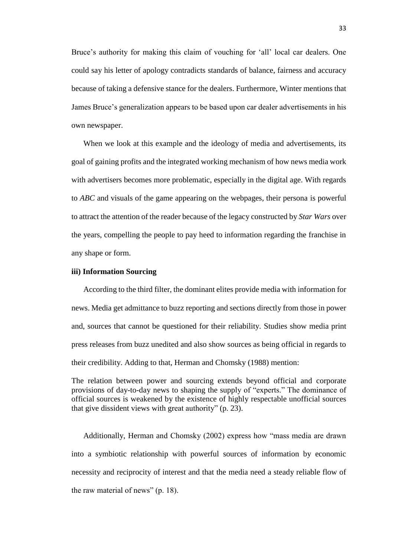Bruce's authority for making this claim of vouching for 'all' local car dealers. One could say his letter of apology contradicts standards of balance, fairness and accuracy because of taking a defensive stance for the dealers. Furthermore, Winter mentions that James Bruce's generalization appears to be based upon car dealer advertisements in his own newspaper.

When we look at this example and the ideology of media and advertisements, its goal of gaining profits and the integrated working mechanism of how news media work with advertisers becomes more problematic, especially in the digital age. With regards to *ABC* and visuals of the game appearing on the webpages, their persona is powerful to attract the attention of the reader because of the legacy constructed by *Star Wars* over the years, compelling the people to pay heed to information regarding the franchise in any shape or form.

## **iii) Information Sourcing**

According to the third filter, the dominant elites provide media with information for news. Media get admittance to buzz reporting and sections directly from those in power and, sources that cannot be questioned for their reliability. Studies show media print press releases from buzz unedited and also show sources as being official in regards to their credibility. Adding to that, Herman and Chomsky (1988) mention:

The relation between power and sourcing extends beyond official and corporate provisions of day-to-day news to shaping the supply of "experts." The dominance of official sources is weakened by the existence of highly respectable unofficial sources that give dissident views with great authority" (p. 23).

Additionally, Herman and Chomsky (2002) express how "mass media are drawn into a symbiotic relationship with powerful sources of information by economic necessity and reciprocity of interest and that the media need a steady reliable flow of the raw material of news" (p. 18).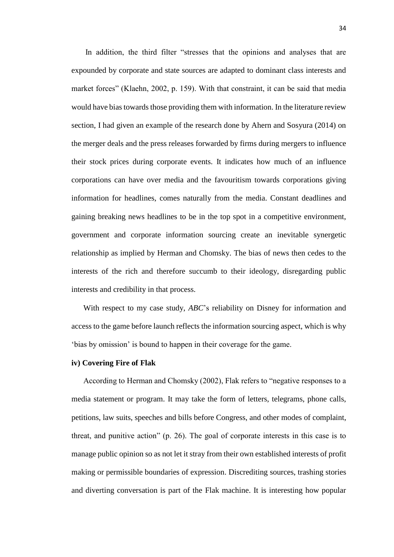In addition, the third filter "stresses that the opinions and analyses that are expounded by corporate and state sources are adapted to dominant class interests and market forces" (Klaehn, 2002, p. 159). With that constraint, it can be said that media would have bias towards those providing them with information. In the literature review section, I had given an example of the research done by Ahern and Sosyura (2014) on the merger deals and the press releases forwarded by firms during mergers to influence their stock prices during corporate events. It indicates how much of an influence corporations can have over media and the favouritism towards corporations giving information for headlines, comes naturally from the media. Constant deadlines and gaining breaking news headlines to be in the top spot in a competitive environment, government and corporate information sourcing create an inevitable synergetic relationship as implied by Herman and Chomsky. The bias of news then cedes to the interests of the rich and therefore succumb to their ideology, disregarding public interests and credibility in that process.

With respect to my case study, *ABC*'s reliability on Disney for information and access to the game before launch reflects the information sourcing aspect, which is why 'bias by omission' is bound to happen in their coverage for the game.

# **iv) Covering Fire of Flak**

According to Herman and Chomsky (2002), Flak refers to "negative responses to a media statement or program. It may take the form of letters, telegrams, phone calls, petitions, law suits, speeches and bills before Congress, and other modes of complaint, threat, and punitive action" (p. 26). The goal of corporate interests in this case is to manage public opinion so as not let it stray from their own established interests of profit making or permissible boundaries of expression. Discrediting sources, trashing stories and diverting conversation is part of the Flak machine. It is interesting how popular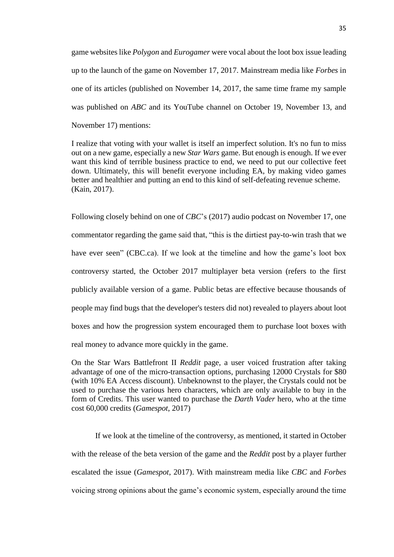game websites like *Polygon* and *Eurogamer* were vocal about the loot box issue leading up to the launch of the game on November 17, 2017. Mainstream media like *Forbes* in one of its articles (published on November 14, 2017, the same time frame my sample was published on *ABC* and its YouTube channel on October 19, November 13, and November 17) mentions:

I realize that voting with your wallet is itself an imperfect solution. It's no fun to miss out on a new game, especially a new *Star Wars* game. But enough is enough. If we ever want this kind of terrible business practice to end, we need to put our collective feet down. Ultimately, this will benefit everyone including EA, by making video games better and healthier and putting an end to this kind of self-defeating revenue scheme. (Kain, 2017).

Following closely behind on one of *CBC*'s (2017) audio podcast on November 17, one commentator regarding the game said that, "this is the dirtiest pay-to-win trash that we have ever seen" (CBC.ca). If we look at the timeline and how the game's loot box controversy started, the October 2017 multiplayer beta version (refers to the first publicly available version of a game. Public betas are effective because thousands of people may find bugs that the developer's testers did not) revealed to players about loot boxes and how the progression system encouraged them to purchase loot boxes with real money to advance more quickly in the game.

On the Star Wars Battlefront II *Reddit* page, a user voiced frustration after taking advantage of one of the micro-transaction options, purchasing 12000 Crystals for \$80 (with 10% EA Access discount). Unbeknownst to the player, the Crystals could not be used to purchase the various hero characters, which are only available to buy in the form of Credits. This user wanted to purchase the *Darth Vader* hero, who at the time cost 60,000 credits (*Gamespot*, 2017)

If we look at the timeline of the controversy, as mentioned, it started in October with the release of the beta version of the game and the *Reddit* post by a player further escalated the issue (*Gamespot*, 2017). With mainstream media like *CBC* and *Forbes*  voicing strong opinions about the game's economic system, especially around the time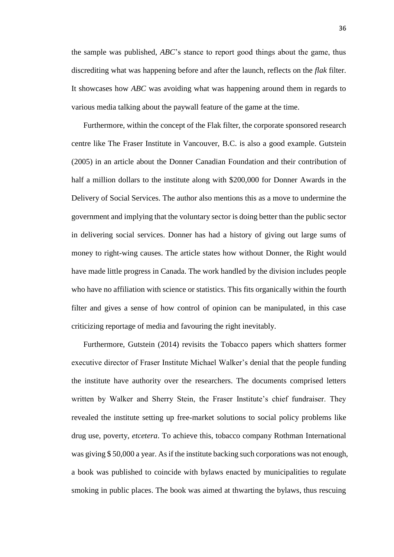the sample was published, *ABC*'s stance to report good things about the game, thus discrediting what was happening before and after the launch, reflects on the *flak* filter. It showcases how *ABC* was avoiding what was happening around them in regards to various media talking about the paywall feature of the game at the time.

Furthermore, within the concept of the Flak filter, the corporate sponsored research centre like The Fraser Institute in Vancouver, B.C. is also a good example. Gutstein (2005) in an article about the Donner Canadian Foundation and their contribution of half a million dollars to the institute along with \$200,000 for Donner Awards in the Delivery of Social Services. The author also mentions this as a move to undermine the government and implying that the voluntary sector is doing better than the public sector in delivering social services. Donner has had a history of giving out large sums of money to right-wing causes. The article states how without Donner, the Right would have made little progress in Canada. The work handled by the division includes people who have no affiliation with science or statistics. This fits organically within the fourth filter and gives a sense of how control of opinion can be manipulated, in this case criticizing reportage of media and favouring the right inevitably.

Furthermore, Gutstein (2014) revisits the Tobacco papers which shatters former executive director of Fraser Institute Michael Walker's denial that the people funding the institute have authority over the researchers. The documents comprised letters written by Walker and Sherry Stein, the Fraser Institute's chief fundraiser. They revealed the institute setting up free-market solutions to social policy problems like drug use, poverty, *etcetera*. To achieve this, tobacco company Rothman International was giving \$ 50,000 a year. As if the institute backing such corporations was not enough, a book was published to coincide with bylaws enacted by municipalities to regulate smoking in public places. The book was aimed at thwarting the bylaws, thus rescuing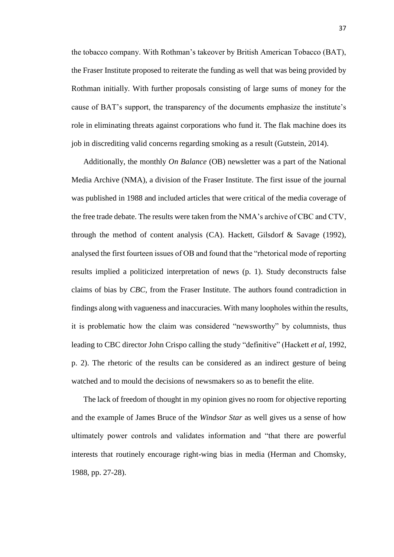the tobacco company. With Rothman's takeover by British American Tobacco (BAT), the Fraser Institute proposed to reiterate the funding as well that was being provided by Rothman initially. With further proposals consisting of large sums of money for the cause of BAT's support, the transparency of the documents emphasize the institute's role in eliminating threats against corporations who fund it. The flak machine does its job in discrediting valid concerns regarding smoking as a result (Gutstein, 2014).

Additionally, the monthly *On Balance* (OB) newsletter was a part of the National Media Archive (NMA), a division of the Fraser Institute. The first issue of the journal was published in 1988 and included articles that were critical of the media coverage of the free trade debate. The results were taken from the NMA's archive of CBC and CTV, through the method of content analysis (CA). Hackett, Gilsdorf & Savage (1992), analysed the first fourteen issues of OB and found that the "rhetorical mode of reporting results implied a politicized interpretation of news (p. 1). Study deconstructs false claims of bias by *CBC,* from the Fraser Institute. The authors found contradiction in findings along with vagueness and inaccuracies. With many loopholes within the results, it is problematic how the claim was considered "newsworthy" by columnists, thus leading to CBC director John Crispo calling the study "definitive" (Hackett *et al*, 1992, p. 2). The rhetoric of the results can be considered as an indirect gesture of being watched and to mould the decisions of newsmakers so as to benefit the elite.

The lack of freedom of thought in my opinion gives no room for objective reporting and the example of James Bruce of the *Windsor Star* as well gives us a sense of how ultimately power controls and validates information and "that there are powerful interests that routinely encourage right-wing bias in media (Herman and Chomsky, 1988, pp. 27-28).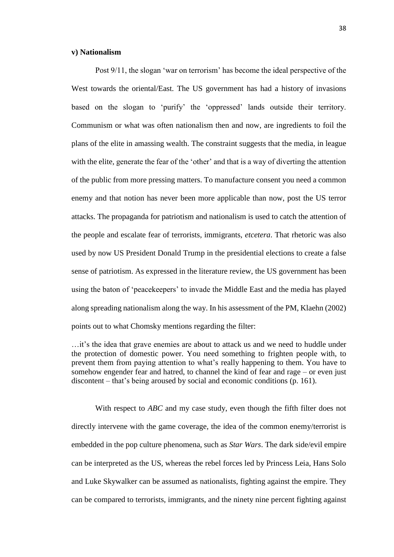## **v) Nationalism**

Post 9/11, the slogan 'war on terrorism' has become the ideal perspective of the West towards the oriental/East. The US government has had a history of invasions based on the slogan to 'purify' the 'oppressed' lands outside their territory. Communism or what was often nationalism then and now, are ingredients to foil the plans of the elite in amassing wealth. The constraint suggests that the media, in league with the elite, generate the fear of the 'other' and that is a way of diverting the attention of the public from more pressing matters. To manufacture consent you need a common enemy and that notion has never been more applicable than now, post the US terror attacks. The propaganda for patriotism and nationalism is used to catch the attention of the people and escalate fear of terrorists, immigrants, *etcetera*. That rhetoric was also used by now US President Donald Trump in the presidential elections to create a false sense of patriotism. As expressed in the literature review, the US government has been using the baton of 'peacekeepers' to invade the Middle East and the media has played along spreading nationalism along the way. In his assessment of the PM, Klaehn (2002) points out to what Chomsky mentions regarding the filter:

With respect to *ABC* and my case study, even though the fifth filter does not directly intervene with the game coverage, the idea of the common enemy/terrorist is embedded in the pop culture phenomena, such as *Star Wars*. The dark side/evil empire can be interpreted as the US, whereas the rebel forces led by Princess Leia, Hans Solo and Luke Skywalker can be assumed as nationalists, fighting against the empire. They can be compared to terrorists, immigrants, and the ninety nine percent fighting against

<sup>…</sup>it's the idea that grave enemies are about to attack us and we need to huddle under the protection of domestic power. You need something to frighten people with, to prevent them from paying attention to what's really happening to them. You have to somehow engender fear and hatred, to channel the kind of fear and rage – or even just discontent – that's being aroused by social and economic conditions (p. 161).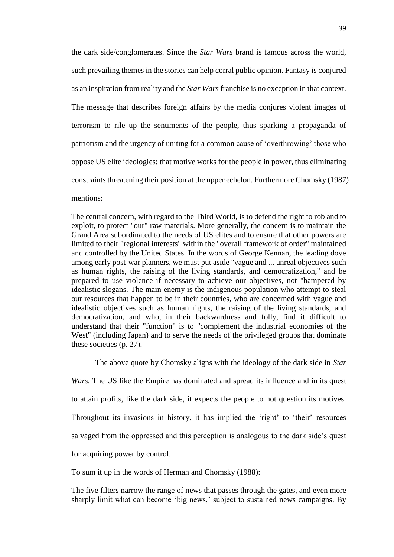the dark side/conglomerates. Since the *Star Wars* brand is famous across the world, such prevailing themes in the stories can help corral public opinion. Fantasy is conjured as an inspiration from reality and the *Star Wars* franchise is no exception in that context. The message that describes foreign affairs by the media conjures violent images of terrorism to rile up the sentiments of the people, thus sparking a propaganda of patriotism and the urgency of uniting for a common cause of 'overthrowing' those who oppose US elite ideologies; that motive works for the people in power, thus eliminating constraints threatening their position at the upper echelon. Furthermore Chomsky (1987) mentions:

The central concern, with regard to the Third World, is to defend the right to rob and to exploit, to protect "our" raw materials. More generally, the concern is to maintain the Grand Area subordinated to the needs of US elites and to ensure that other powers are limited to their "regional interests" within the "overall framework of order" maintained and controlled by the United States. In the words of George Kennan, the leading dove among early post-war planners, we must put aside "vague and ... unreal objectives such as human rights, the raising of the living standards, and democratization," and be prepared to use violence if necessary to achieve our objectives, not "hampered by idealistic slogans. The main enemy is the indigenous population who attempt to steal our resources that happen to be in their countries, who are concerned with vague and idealistic objectives such as human rights, the raising of the living standards, and democratization, and who, in their backwardness and folly, find it difficult to understand that their "function" is to "complement the industrial economies of the West" (including Japan) and to serve the needs of the privileged groups that dominate these societies (p. 27).

The above quote by Chomsky aligns with the ideology of the dark side in *Star* 

*Wars.* The US like the Empire has dominated and spread its influence and in its quest to attain profits, like the dark side, it expects the people to not question its motives. Throughout its invasions in history, it has implied the 'right' to 'their' resources salvaged from the oppressed and this perception is analogous to the dark side's quest for acquiring power by control.

To sum it up in the words of Herman and Chomsky (1988):

The five filters narrow the range of news that passes through the gates, and even more sharply limit what can become 'big news,' subject to sustained news campaigns. By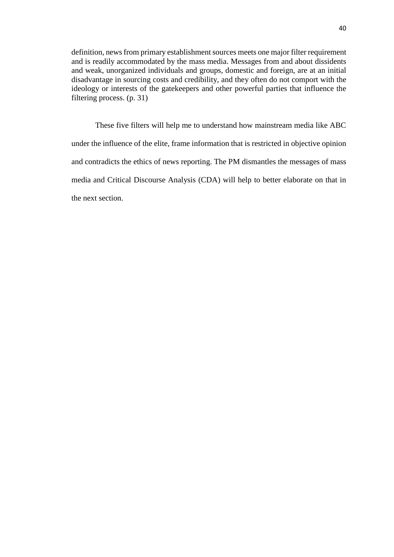definition, news from primary establishment sources meets one major filter requirement and is readily accommodated by the mass media. Messages from and about dissidents and weak, unorganized individuals and groups, domestic and foreign, are at an initial disadvantage in sourcing costs and credibility, and they often do not comport with the ideology or interests of the gatekeepers and other powerful parties that influence the filtering process. (p. 31)

These five filters will help me to understand how mainstream media like ABC under the influence of the elite, frame information that is restricted in objective opinion and contradicts the ethics of news reporting. The PM dismantles the messages of mass media and Critical Discourse Analysis (CDA) will help to better elaborate on that in the next section.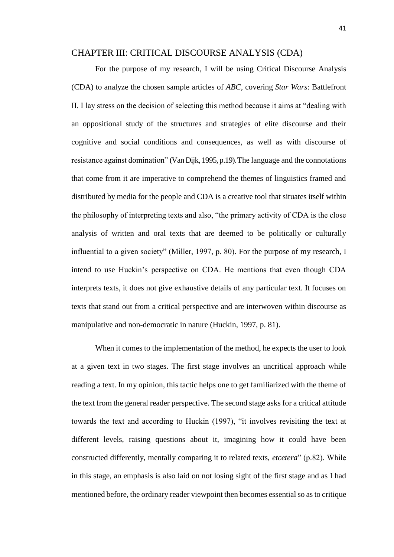# CHAPTER III: CRITICAL DISCOURSE ANALYSIS (CDA)

For the purpose of my research, I will be using Critical Discourse Analysis (CDA) to analyze the chosen sample articles of *ABC*, covering *Star Wars*: Battlefront II. I lay stress on the decision of selecting this method because it aims at "dealing with an oppositional study of the structures and strategies of elite discourse and their cognitive and social conditions and consequences, as well as with discourse of resistance against domination" (Van Dijk, 1995, p.19).The language and the connotations that come from it are imperative to comprehend the themes of linguistics framed and distributed by media for the people and CDA is a creative tool that situates itself within the philosophy of interpreting texts and also, "the primary activity of CDA is the close analysis of written and oral texts that are deemed to be politically or culturally influential to a given society" (Miller, 1997, p. 80). For the purpose of my research, I intend to use Huckin's perspective on CDA. He mentions that even though CDA interprets texts, it does not give exhaustive details of any particular text. It focuses on texts that stand out from a critical perspective and are interwoven within discourse as manipulative and non-democratic in nature (Huckin, 1997, p. 81).

When it comes to the implementation of the method, he expects the user to look at a given text in two stages. The first stage involves an uncritical approach while reading a text. In my opinion, this tactic helps one to get familiarized with the theme of the text from the general reader perspective. The second stage asks for a critical attitude towards the text and according to Huckin (1997), "it involves revisiting the text at different levels, raising questions about it, imagining how it could have been constructed differently, mentally comparing it to related texts, *etcetera*" (p.82). While in this stage, an emphasis is also laid on not losing sight of the first stage and as I had mentioned before, the ordinary reader viewpoint then becomes essential so as to critique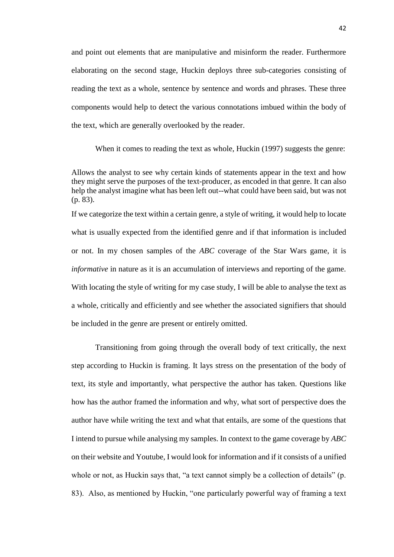and point out elements that are manipulative and misinform the reader. Furthermore elaborating on the second stage, Huckin deploys three sub-categories consisting of reading the text as a whole, sentence by sentence and words and phrases. These three components would help to detect the various connotations imbued within the body of the text, which are generally overlooked by the reader.

When it comes to reading the text as whole. Huckin (1997) suggests the genre:

Allows the analyst to see why certain kinds of statements appear in the text and how they might serve the purposes of the text-producer, as encoded in that genre. It can also help the analyst imagine what has been left out--what could have been said, but was not (p. 83).

If we categorize the text within a certain genre, a style of writing, it would help to locate what is usually expected from the identified genre and if that information is included or not. In my chosen samples of the *ABC* coverage of the Star Wars game, it is *informative* in nature as it is an accumulation of interviews and reporting of the game. With locating the style of writing for my case study, I will be able to analyse the text as a whole, critically and efficiently and see whether the associated signifiers that should be included in the genre are present or entirely omitted.

Transitioning from going through the overall body of text critically, the next step according to Huckin is framing. It lays stress on the presentation of the body of text, its style and importantly, what perspective the author has taken. Questions like how has the author framed the information and why, what sort of perspective does the author have while writing the text and what that entails, are some of the questions that I intend to pursue while analysing my samples. In context to the game coverage by *ABC* on their website and Youtube, I would look for information and if it consists of a unified whole or not, as Huckin says that, "a text cannot simply be a collection of details" (p. 83). Also, as mentioned by Huckin, "one particularly powerful way of framing a text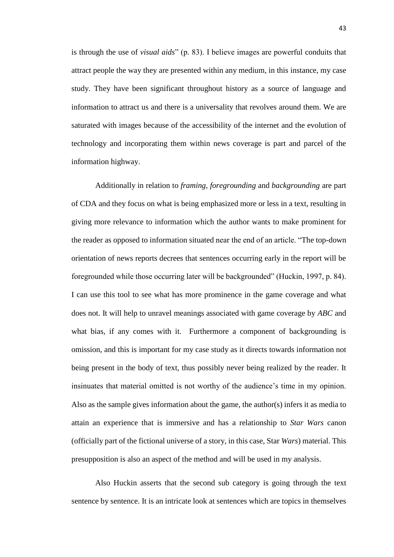is through the use of *visual aids*" (p. 83). I believe images are powerful conduits that attract people the way they are presented within any medium, in this instance, my case study. They have been significant throughout history as a source of language and information to attract us and there is a universality that revolves around them. We are saturated with images because of the accessibility of the internet and the evolution of technology and incorporating them within news coverage is part and parcel of the information highway.

Additionally in relation to *framing*, *foregrounding* and *backgrounding* are part of CDA and they focus on what is being emphasized more or less in a text, resulting in giving more relevance to information which the author wants to make prominent for the reader as opposed to information situated near the end of an article. "The top-down orientation of news reports decrees that sentences occurring early in the report will be foregrounded while those occurring later will be backgrounded" (Huckin, 1997, p. 84). I can use this tool to see what has more prominence in the game coverage and what does not. It will help to unravel meanings associated with game coverage by *ABC* and what bias, if any comes with it. Furthermore a component of backgrounding is omission, and this is important for my case study as it directs towards information not being present in the body of text, thus possibly never being realized by the reader. It insinuates that material omitted is not worthy of the audience's time in my opinion. Also as the sample gives information about the game, the author(s) infers it as media to attain an experience that is immersive and has a relationship to *Star Wars* canon (officially part of the fictional universe of a story, in this case, Star *Wars*) material. This presupposition is also an aspect of the method and will be used in my analysis.

Also Huckin asserts that the second sub category is going through the text sentence by sentence. It is an intricate look at sentences which are topics in themselves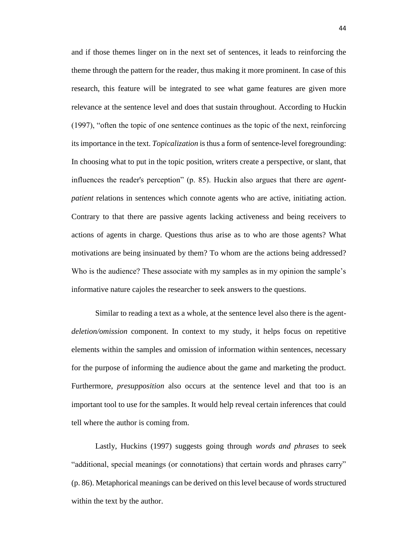and if those themes linger on in the next set of sentences, it leads to reinforcing the theme through the pattern for the reader, thus making it more prominent. In case of this research, this feature will be integrated to see what game features are given more relevance at the sentence level and does that sustain throughout. According to Huckin (1997), "often the topic of one sentence continues as the topic of the next, reinforcing its importance in the text. *Topicalization* is thus a form of sentence-level foregrounding: In choosing what to put in the topic position, writers create a perspective, or slant, that influences the reader's perception" (p. 85). Huckin also argues that there are *agentpatient* relations in sentences which connote agents who are active, initiating action. Contrary to that there are passive agents lacking activeness and being receivers to actions of agents in charge. Questions thus arise as to who are those agents? What motivations are being insinuated by them? To whom are the actions being addressed? Who is the audience? These associate with my samples as in my opinion the sample's informative nature cajoles the researcher to seek answers to the questions.

Similar to reading a text as a whole, at the sentence level also there is the agent*deletion/omission* component. In context to my study, it helps focus on repetitive elements within the samples and omission of information within sentences, necessary for the purpose of informing the audience about the game and marketing the product. Furthermore, *presupposition* also occurs at the sentence level and that too is an important tool to use for the samples. It would help reveal certain inferences that could tell where the author is coming from.

Lastly, Huckins (1997) suggests going through *words and phrases* to seek "additional, special meanings (or connotations) that certain words and phrases carry" (p. 86). Metaphorical meanings can be derived on this level because of words structured within the text by the author.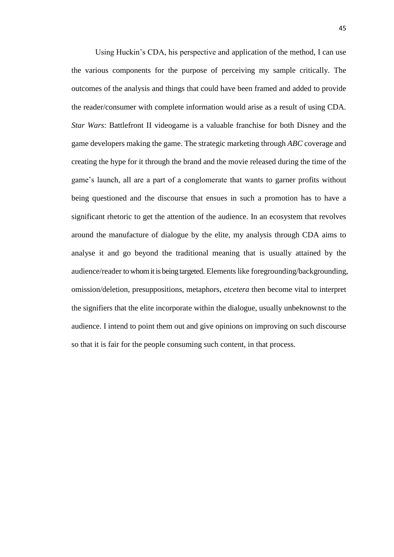Using Huckin's CDA, his perspective and application of the method, I can use the various components for the purpose of perceiving my sample critically. The outcomes of the analysis and things that could have been framed and added to provide the reader/consumer with complete information would arise as a result of using CDA. *Star Wars*: Battlefront II videogame is a valuable franchise for both Disney and the game developers making the game. The strategic marketing through *ABC* coverage and creating the hype for it through the brand and the movie released during the time of the game's launch, all are a part of a conglomerate that wants to garner profits without being questioned and the discourse that ensues in such a promotion has to have a significant rhetoric to get the attention of the audience. In an ecosystem that revolves around the manufacture of dialogue by the elite, my analysis through CDA aims to analyse it and go beyond the traditional meaning that is usually attained by the audience/reader to whom it is being targeted. Elements like foregrounding/backgrounding, omission/deletion, presuppositions, metaphors, *etcetera* then become vital to interpret the signifiers that the elite incorporate within the dialogue, usually unbeknownst to the audience. I intend to point them out and give opinions on improving on such discourse so that it is fair for the people consuming such content, in that process.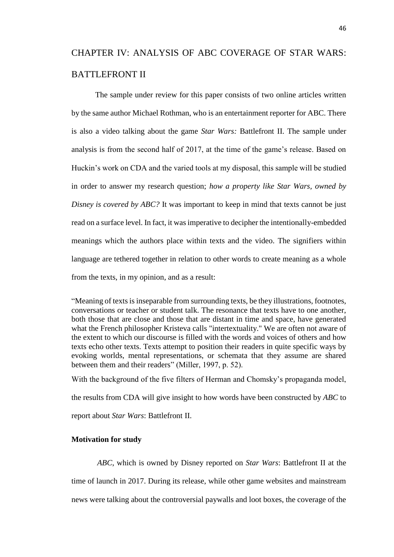# CHAPTER IV: ANALYSIS OF ABC COVERAGE OF STAR WARS: BATTLEFRONT II

The sample under review for this paper consists of two online articles written by the same author Michael Rothman, who is an entertainment reporter for ABC. There is also a video talking about the game *Star Wars:* Battlefront II. The sample under analysis is from the second half of 2017, at the time of the game's release. Based on Huckin's work on CDA and the varied tools at my disposal, this sample will be studied in order to answer my research question; *how a property like Star Wars, owned by Disney is covered by ABC?* It was important to keep in mind that texts cannot be just read on a surface level. In fact, it was imperative to decipher the intentionally-embedded meanings which the authors place within texts and the video. The signifiers within language are tethered together in relation to other words to create meaning as a whole from the texts, in my opinion, and as a result:

"Meaning of texts is inseparable from surrounding texts, be they illustrations, footnotes, conversations or teacher or student talk. The resonance that texts have to one another, both those that are close and those that are distant in time and space, have generated what the French philosopher Kristeva calls "intertextuality." We are often not aware of the extent to which our discourse is filled with the words and voices of others and how texts echo other texts. Texts attempt to position their readers in quite specific ways by evoking worlds, mental representations, or schemata that they assume are shared between them and their readers" (Miller, 1997, p. 52).

With the background of the five filters of Herman and Chomsky's propaganda model,

the results from CDA will give insight to how words have been constructed by *ABC* to

report about *Star Wars*: Battlefront II.

# **Motivation for study**

*ABC*, which is owned by Disney reported on *Star Wars*: Battlefront II at the time of launch in 2017. During its release, while other game websites and mainstream news were talking about the controversial paywalls and loot boxes, the coverage of the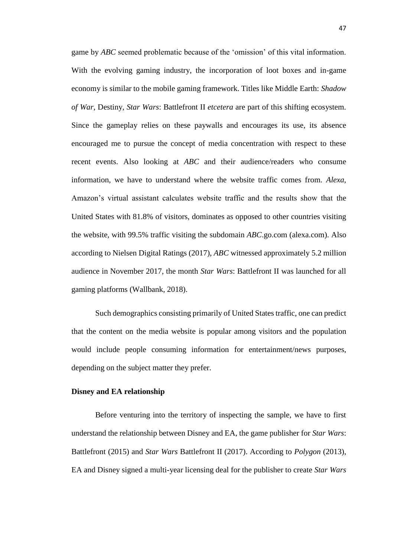game by *ABC* seemed problematic because of the 'omission' of this vital information. With the evolving gaming industry, the incorporation of loot boxes and in-game economy is similar to the mobile gaming framework. Titles like Middle Earth: *Shadow of War*, Destiny, *Star Wars*: Battlefront II *etcetera* are part of this shifting ecosystem. Since the gameplay relies on these paywalls and encourages its use, its absence encouraged me to pursue the concept of media concentration with respect to these recent events. Also looking at *ABC* and their audience/readers who consume information, we have to understand where the website traffic comes from. *Alexa*, Amazon's virtual assistant calculates website traffic and the results show that the United States with 81.8% of visitors, dominates as opposed to other countries visiting the website, with 99.5% traffic visiting the subdomain *ABC*.go.com (alexa.com). Also according to Nielsen Digital Ratings (2017), *ABC* witnessed approximately 5.2 million audience in November 2017, the month *Star Wars*: Battlefront II was launched for all gaming platforms (Wallbank, 2018).

Such demographics consisting primarily of United States traffic, one can predict that the content on the media website is popular among visitors and the population would include people consuming information for entertainment/news purposes, depending on the subject matter they prefer.

### **Disney and EA relationship**

Before venturing into the territory of inspecting the sample, we have to first understand the relationship between Disney and EA, the game publisher for *Star Wars*: Battlefront (2015) and *Star Wars* Battlefront II (2017). According to *Polygon* (2013), EA and Disney signed a multi-year licensing deal for the publisher to create *Star Wars*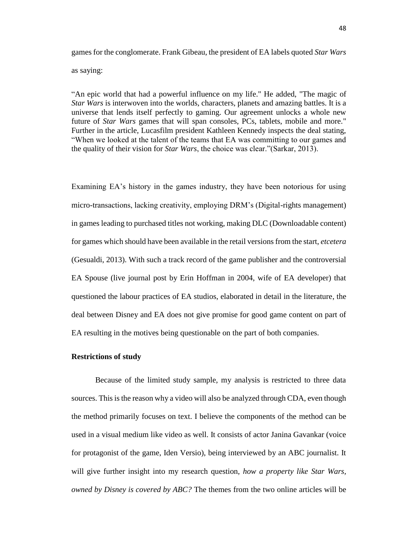games for the conglomerate. Frank Gibeau, the president of EA labels quoted *Star Wars* as saying:

"An epic world that had a powerful influence on my life." He added, "The magic of *Star Wars* is interwoven into the worlds, characters, planets and amazing battles. It is a universe that lends itself perfectly to gaming. Our agreement unlocks a whole new future of *Star Wars* games that will span consoles, PCs, tablets, mobile and more." Further in the article, Lucasfilm president Kathleen Kennedy inspects the deal stating, "When we looked at the talent of the teams that EA was committing to our games and the quality of their vision for *Star Wars*, the choice was clear."(Sarkar, 2013).

Examining EA's history in the games industry, they have been notorious for using micro-transactions, lacking creativity, employing DRM's (Digital-rights management) in games leading to purchased titles not working, making DLC (Downloadable content) for games which should have been available in the retail versions from the start, *etcetera*  (Gesualdi, 2013). With such a track record of the game publisher and the controversial EA Spouse (live journal post by Erin Hoffman in 2004, wife of EA developer) that questioned the labour practices of EA studios, elaborated in detail in the literature, the deal between Disney and EA does not give promise for good game content on part of EA resulting in the motives being questionable on the part of both companies.

#### **Restrictions of study**

Because of the limited study sample, my analysis is restricted to three data sources. This is the reason why a video will also be analyzed through CDA, even though the method primarily focuses on text. I believe the components of the method can be used in a visual medium like video as well. It consists of actor Janina Gavankar (voice for protagonist of the game, Iden Versio), being interviewed by an ABC journalist. It will give further insight into my research question, *how a property like Star Wars, owned by Disney is covered by ABC?* The themes from the two online articles will be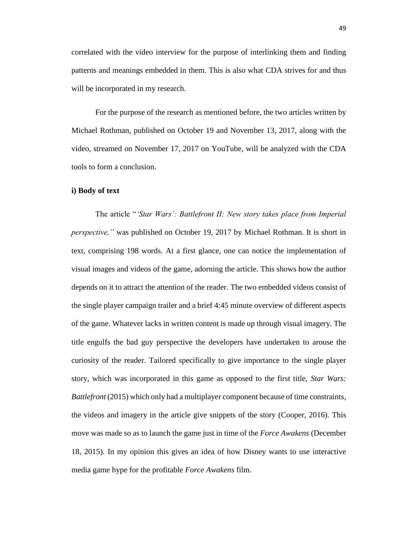correlated with the video interview for the purpose of interlinking them and finding patterns and meanings embedded in them. This is also what CDA strives for and thus will be incorporated in my research.

For the purpose of the research as mentioned before, the two articles written by Michael Rothman, published on October 19 and November 13, 2017, along with the video, streamed on November 17, 2017 on YouTube, will be analyzed with the CDA tools to form a conclusion.

### **i) Body of text**

The article "*'Star Wars': Battlefront II: New story takes place from Imperial perspective,"* was published on October 19, 2017 by Michael Rothman. It is short in text, comprising 198 words. At a first glance, one can notice the implementation of visual images and videos of the game, adorning the article. This shows how the author depends on it to attract the attention of the reader. The two embedded videos consist of the single player campaign trailer and a brief 4:45 minute overview of different aspects of the game. Whatever lacks in written content is made up through visual imagery. The title engulfs the bad guy perspective the developers have undertaken to arouse the curiosity of the reader. Tailored specifically to give importance to the single player story, which was incorporated in this game as opposed to the first title, *Star Wars: Battlefront* (2015) which only had a multiplayer component because of time constraints, the videos and imagery in the article give snippets of the story (Cooper, 2016). This move was made so as to launch the game just in time of the *Force Awakens* (December 18, 2015). In my opinion this gives an idea of how Disney wants to use interactive media game hype for the profitable *Force Awakens* film.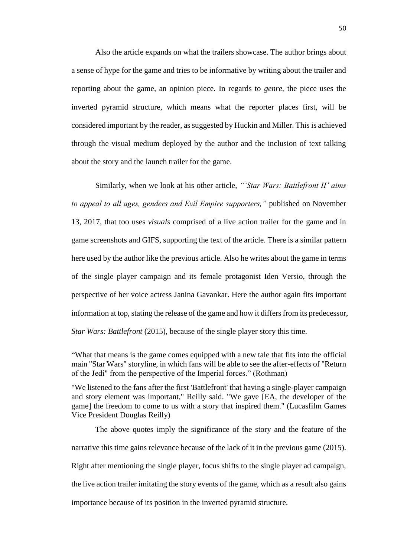Also the article expands on what the trailers showcase. The author brings about a sense of hype for the game and tries to be informative by writing about the trailer and reporting about the game, an opinion piece. In regards to *genre*, the piece uses the inverted pyramid structure, which means what the reporter places first, will be considered important by the reader, as suggested by Huckin and Miller. This is achieved through the visual medium deployed by the author and the inclusion of text talking about the story and the launch trailer for the game.

Similarly, when we look at his other article, *"'Star Wars: Battlefront II' aims to appeal to all ages, genders and Evil Empire supporters,"* published on November 13, 2017, that too uses *visuals* comprised of a live action trailer for the game and in game screenshots and GIFS, supporting the text of the article. There is a similar pattern here used by the author like the previous article. Also he writes about the game in terms of the single player campaign and its female protagonist Iden Versio, through the perspective of her voice actress Janina Gavankar. Here the author again fits important information at top, stating the release of the game and how it differs from its predecessor, *Star Wars: Battlefront* (2015), because of the single player story this time.

"What that means is the game comes equipped with a new tale that fits into the official main "Star Wars" storyline, in which fans will be able to see the after-effects of "Return of the Jedi" from the perspective of the Imperial forces." (Rothman)

"We listened to the fans after the first 'Battlefront' that having a single-player campaign and story element was important," Reilly said. "We gave [EA, the developer of the game] the freedom to come to us with a story that inspired them." (Lucasfilm Games Vice President Douglas Reilly)

The above quotes imply the significance of the story and the feature of the narrative this time gains relevance because of the lack of it in the previous game (2015). Right after mentioning the single player, focus shifts to the single player ad campaign, the live action trailer imitating the story events of the game, which as a result also gains importance because of its position in the inverted pyramid structure.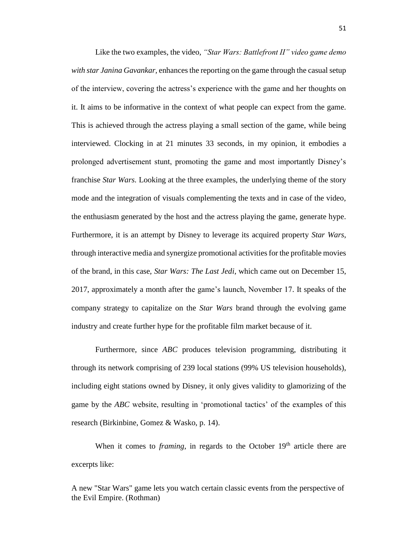Like the two examples, the video, *"Star Wars: Battlefront II" video game demo with star Janina Gavankar,* enhances the reporting on the game through the casual setup of the interview, covering the actress's experience with the game and her thoughts on it. It aims to be informative in the context of what people can expect from the game. This is achieved through the actress playing a small section of the game, while being interviewed. Clocking in at 21 minutes 33 seconds, in my opinion, it embodies a prolonged advertisement stunt, promoting the game and most importantly Disney's franchise *Star Wars.* Looking at the three examples, the underlying theme of the story mode and the integration of visuals complementing the texts and in case of the video, the enthusiasm generated by the host and the actress playing the game, generate hype. Furthermore, it is an attempt by Disney to leverage its acquired property *Star Wars*, through interactive media and synergize promotional activities for the profitable movies of the brand, in this case, *Star Wars: The Last Jedi*, which came out on December 15, 2017, approximately a month after the game's launch, November 17. It speaks of the company strategy to capitalize on the *Star Wars* brand through the evolving game industry and create further hype for the profitable film market because of it.

Furthermore, since *ABC* produces television programming, distributing it through its network comprising of 239 local stations (99% US television households), including eight stations owned by Disney, it only gives validity to glamorizing of the game by the *ABC* website, resulting in 'promotional tactics' of the examples of this research (Birkinbine, Gomez & Wasko, p. 14).

When it comes to *framing*, in regards to the October 19<sup>th</sup> article there are excerpts like:

A new "Star Wars" game lets you watch certain classic events from the perspective of the Evil Empire. (Rothman)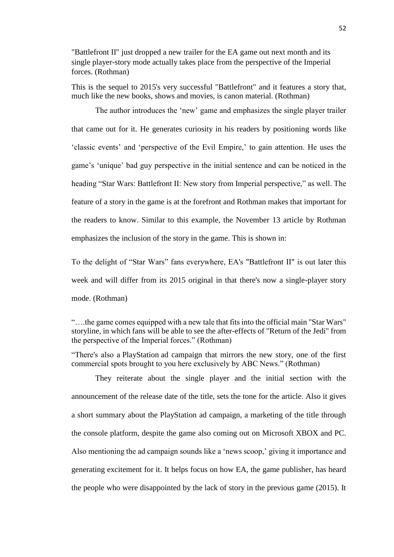"Battlefront II" just dropped a new trailer for the EA game out next month and its single player-story mode actually takes place from the perspective of the Imperial forces. (Rothman)

This is the sequel to 2015's very successful "Battlefront" and it features a story that, much like the new books, shows and movies, is canon material. (Rothman)

The author introduces the 'new' game and emphasizes the single player trailer that came out for it. He generates curiosity in his readers by positioning words like 'classic events' and 'perspective of the Evil Empire,' to gain attention. He uses the game's 'unique' bad guy perspective in the initial sentence and can be noticed in the heading "Star Wars: Battlefront II: New story from Imperial perspective," as well. The feature of a story in the game is at the forefront and Rothman makes that important for the readers to know. Similar to this example, the November 13 article by Rothman emphasizes the inclusion of the story in the game. This is shown in:

To the delight of "Star Wars" fans everywhere, EA's "Battlefront II" is out later this week and will differ from its 2015 original in that there's now a single-player story mode. (Rothman)

They reiterate about the single player and the initial section with the announcement of the release date of the title, sets the tone for the article. Also it gives a short summary about the PlayStation ad campaign, a marketing of the title through the console platform, despite the game also coming out on Microsoft XBOX and PC. Also mentioning the ad campaign sounds like a 'news scoop,' giving it importance and generating excitement for it. It helps focus on how EA, the game publisher, has heard the people who were disappointed by the lack of story in the previous game (2015). It

<sup>&</sup>quot;….the game comes equipped with a new tale that fits into the official main "Star Wars" storyline, in which fans will be able to see the after-effects of "Return of the Jedi" from the perspective of the Imperial forces." (Rothman)

<sup>&</sup>quot;There's also a PlayStation ad campaign that mirrors the new story, one of the first commercial spots brought to you here exclusively by ABC News." (Rothman)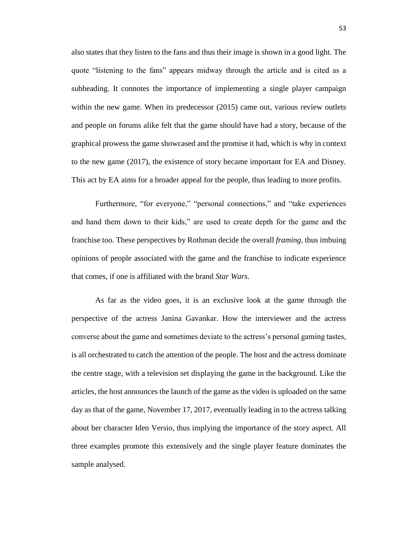also states that they listen to the fans and thus their image is shown in a good light. The quote "listening to the fans" appears midway through the article and is cited as a subheading. It connotes the importance of implementing a single player campaign within the new game. When its predecessor (2015) came out, various review outlets and people on forums alike felt that the game should have had a story, because of the graphical prowess the game showcased and the promise it had, which is why in context to the new game (2017), the existence of story became important for EA and Disney. This act by EA aims for a broader appeal for the people, thus leading to more profits.

Furthermore, "for everyone," "personal connections," and "take experiences and hand them down to their kids," are used to create depth for the game and the franchise too. These perspectives by Rothman decide the overall *framing*, thus imbuing opinions of people associated with the game and the franchise to indicate experience that comes, if one is affiliated with the brand *Star Wars*.

As far as the video goes, it is an exclusive look at the game through the perspective of the actress Janina Gavankar. How the interviewer and the actress converse about the game and sometimes deviate to the actress's personal gaming tastes, is all orchestrated to catch the attention of the people. The host and the actress dominate the centre stage, with a television set displaying the game in the background. Like the articles, the host announces the launch of the game as the video is uploaded on the same day as that of the game, November 17, 2017, eventually leading in to the actress talking about her character Iden Versio, thus implying the importance of the story aspect. All three examples promote this extensively and the single player feature dominates the sample analysed.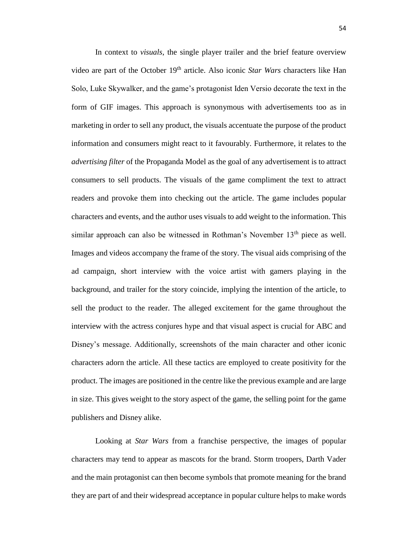In context to *visuals*, the single player trailer and the brief feature overview video are part of the October 19<sup>th</sup> article. Also iconic *Star Wars* characters like Han Solo, Luke Skywalker, and the game's protagonist Iden Versio decorate the text in the form of GIF images. This approach is synonymous with advertisements too as in marketing in order to sell any product, the visuals accentuate the purpose of the product information and consumers might react to it favourably. Furthermore, it relates to the *advertising filter* of the Propaganda Model as the goal of any advertisement is to attract consumers to sell products. The visuals of the game compliment the text to attract readers and provoke them into checking out the article. The game includes popular characters and events, and the author uses visuals to add weight to the information. This similar approach can also be witnessed in Rothman's November  $13<sup>th</sup>$  piece as well. Images and videos accompany the frame of the story. The visual aids comprising of the ad campaign, short interview with the voice artist with gamers playing in the background, and trailer for the story coincide, implying the intention of the article, to sell the product to the reader. The alleged excitement for the game throughout the interview with the actress conjures hype and that visual aspect is crucial for ABC and Disney's message. Additionally, screenshots of the main character and other iconic characters adorn the article. All these tactics are employed to create positivity for the product. The images are positioned in the centre like the previous example and are large in size. This gives weight to the story aspect of the game, the selling point for the game publishers and Disney alike.

Looking at *Star Wars* from a franchise perspective, the images of popular characters may tend to appear as mascots for the brand. Storm troopers, Darth Vader and the main protagonist can then become symbols that promote meaning for the brand they are part of and their widespread acceptance in popular culture helps to make words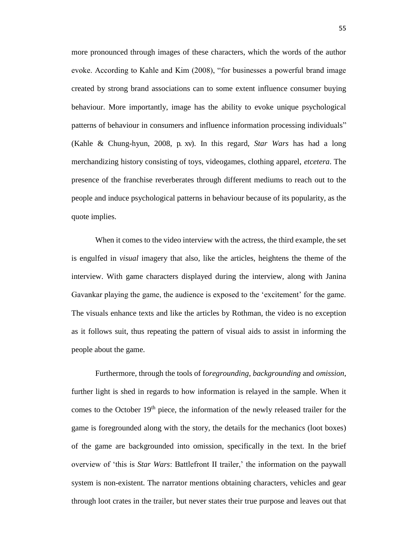more pronounced through images of these characters, which the words of the author evoke. According to Kahle and Kim (2008), "for businesses a powerful brand image created by strong brand associations can to some extent influence consumer buying behaviour. More importantly, image has the ability to evoke unique psychological patterns of behaviour in consumers and influence information processing individuals" (Kahle & Chung-hyun, 2008, p. xv). In this regard, *Star Wars* has had a long merchandizing history consisting of toys, videogames, clothing apparel, *etcetera*. The presence of the franchise reverberates through different mediums to reach out to the people and induce psychological patterns in behaviour because of its popularity, as the quote implies.

When it comes to the video interview with the actress, the third example, the set is engulfed in *visual* imagery that also, like the articles, heightens the theme of the interview. With game characters displayed during the interview, along with Janina Gavankar playing the game, the audience is exposed to the 'excitement' for the game. The visuals enhance texts and like the articles by Rothman, the video is no exception as it follows suit, thus repeating the pattern of visual aids to assist in informing the people about the game.

Furthermore, through the tools of f*oregrounding*, *backgrounding* and *omission*, further light is shed in regards to how information is relayed in the sample. When it comes to the October  $19<sup>th</sup>$  piece, the information of the newly released trailer for the game is foregrounded along with the story, the details for the mechanics (loot boxes) of the game are backgrounded into omission, specifically in the text. In the brief overview of 'this is *Star Wars*: Battlefront II trailer,' the information on the paywall system is non-existent. The narrator mentions obtaining characters, vehicles and gear through loot crates in the trailer, but never states their true purpose and leaves out that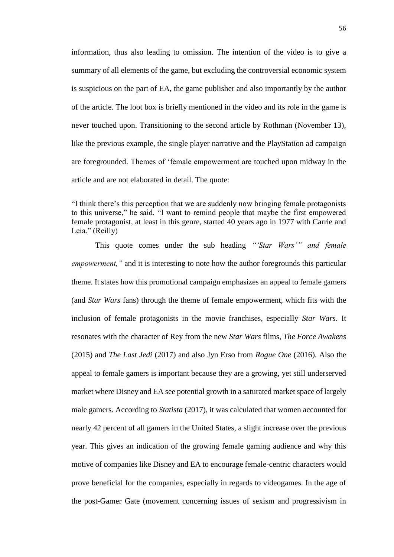information, thus also leading to omission. The intention of the video is to give a summary of all elements of the game, but excluding the controversial economic system is suspicious on the part of EA, the game publisher and also importantly by the author of the article. The loot box is briefly mentioned in the video and its role in the game is never touched upon. Transitioning to the second article by Rothman (November 13), like the previous example, the single player narrative and the PlayStation ad campaign are foregrounded. Themes of 'female empowerment are touched upon midway in the article and are not elaborated in detail. The quote:

"I think there's this perception that we are suddenly now bringing female protagonists to this universe," he said. "I want to remind people that maybe the first empowered female protagonist, at least in this genre, started 40 years ago in 1977 with Carrie and Leia." (Reilly)

This quote comes under the sub heading *"'Star Wars'" and female empowerment,"* and it is interesting to note how the author foregrounds this particular theme. It states how this promotional campaign emphasizes an appeal to female gamers (and *Star Wars* fans) through the theme of female empowerment, which fits with the inclusion of female protagonists in the movie franchises, especially *Star Wars*. It resonates with the character of Rey from the new *Star Wars* films, *The Force Awakens* (2015) and *The Last Jedi* (2017) and also Jyn Erso from *Rogue One* (2016). Also the appeal to female gamers is important because they are a growing, yet still underserved market where Disney and EA see potential growth in a saturated market space of largely male gamers. According to *Statista* (2017), it was calculated that women accounted for nearly 42 percent of all gamers in the United States, a slight increase over the previous year. This gives an indication of the growing female gaming audience and why this motive of companies like Disney and EA to encourage female-centric characters would prove beneficial for the companies, especially in regards to videogames. In the age of the post-Gamer Gate (movement concerning issues of sexism and progressivism in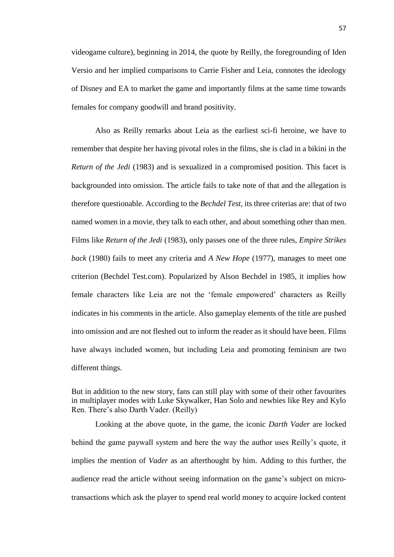videogame culture), beginning in 2014, the quote by Reilly, the foregrounding of Iden Versio and her implied comparisons to Carrie Fisher and Leia, connotes the ideology of Disney and EA to market the game and importantly films at the same time towards females for company goodwill and brand positivity.

Also as Reilly remarks about Leia as the earliest sci-fi heroine, we have to remember that despite her having pivotal roles in the films, she is clad in a bikini in the *Return of the Jedi* (1983) and is sexualized in a compromised position. This facet is backgrounded into omission. The article fails to take note of that and the allegation is therefore questionable. According to the *Bechdel Test,* its three criterias are: that of two named women in a movie, they talk to each other, and about something other than men. Films like *Return of the Jedi* (1983), only passes one of the three rules, *Empire Strikes back* (1980) fails to meet any criteria and *A New Hope* (1977), manages to meet one criterion (Bechdel Test.com). Popularized by Alson Bechdel in 1985, it implies how female characters like Leia are not the 'female empowered' characters as Reilly indicates in his comments in the article. Also gameplay elements of the title are pushed into omission and are not fleshed out to inform the reader as it should have been. Films have always included women, but including Leia and promoting feminism are two different things.

But in addition to the new story, fans can still play with some of their other favourites in multiplayer modes with Luke Skywalker, Han Solo and newbies like Rey and Kylo Ren. There's also Darth Vader. (Reilly)

Looking at the above quote, in the game, the iconic *Darth Vader* are locked behind the game paywall system and here the way the author uses Reilly's quote, it implies the mention of *Vader* as an afterthought by him. Adding to this further, the audience read the article without seeing information on the game's subject on microtransactions which ask the player to spend real world money to acquire locked content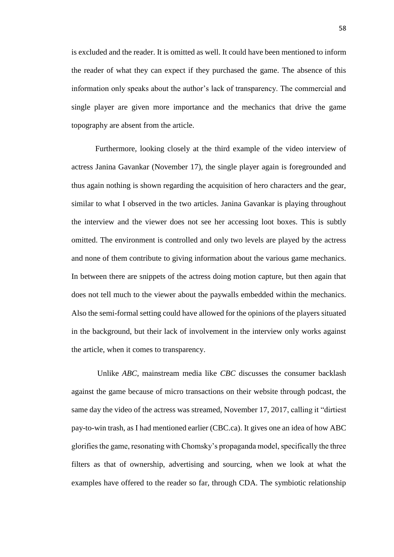is excluded and the reader. It is omitted as well. It could have been mentioned to inform the reader of what they can expect if they purchased the game. The absence of this information only speaks about the author's lack of transparency. The commercial and single player are given more importance and the mechanics that drive the game topography are absent from the article.

Furthermore, looking closely at the third example of the video interview of actress Janina Gavankar (November 17), the single player again is foregrounded and thus again nothing is shown regarding the acquisition of hero characters and the gear, similar to what I observed in the two articles. Janina Gavankar is playing throughout the interview and the viewer does not see her accessing loot boxes. This is subtly omitted. The environment is controlled and only two levels are played by the actress and none of them contribute to giving information about the various game mechanics. In between there are snippets of the actress doing motion capture, but then again that does not tell much to the viewer about the paywalls embedded within the mechanics. Also the semi-formal setting could have allowed for the opinions of the players situated in the background, but their lack of involvement in the interview only works against the article, when it comes to transparency.

Unlike *ABC*, mainstream media like *CBC* discusses the consumer backlash against the game because of micro transactions on their website through podcast, the same day the video of the actress was streamed, November 17, 2017, calling it "dirtiest pay-to-win trash, as I had mentioned earlier (CBC.ca). It gives one an idea of how ABC glorifies the game, resonating with Chomsky's propaganda model, specifically the three filters as that of ownership, advertising and sourcing, when we look at what the examples have offered to the reader so far, through CDA. The symbiotic relationship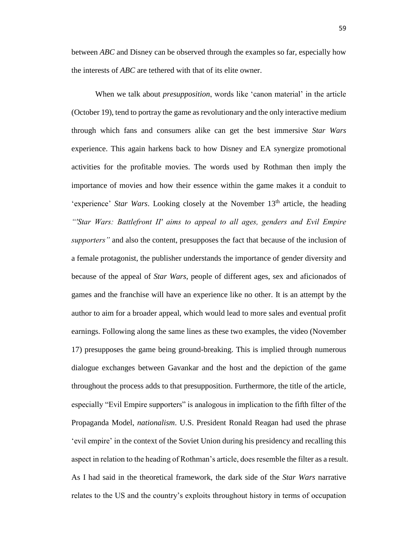between *ABC* and Disney can be observed through the examples so far, especially how the interests of *ABC* are tethered with that of its elite owner.

When we talk about *presupposition*, words like 'canon material' in the article (October 19), tend to portray the game as revolutionary and the only interactive medium through which fans and consumers alike can get the best immersive *Star Wars* experience. This again harkens back to how Disney and EA synergize promotional activities for the profitable movies. The words used by Rothman then imply the importance of movies and how their essence within the game makes it a conduit to 'experience' *Star Wars*. Looking closely at the November 13<sup>th</sup> article, the heading *"'Star Wars: Battlefront II' aims to appeal to all ages, genders and Evil Empire supporters"* and also the content, presupposes the fact that because of the inclusion of a female protagonist, the publisher understands the importance of gender diversity and because of the appeal of *Star Wars*, people of different ages, sex and aficionados of games and the franchise will have an experience like no other. It is an attempt by the author to aim for a broader appeal, which would lead to more sales and eventual profit earnings. Following along the same lines as these two examples, the video (November 17) presupposes the game being ground-breaking. This is implied through numerous dialogue exchanges between Gavankar and the host and the depiction of the game throughout the process adds to that presupposition. Furthermore, the title of the article, especially "Evil Empire supporters" is analogous in implication to the fifth filter of the Propaganda Model, *nationalism*. U.S. President Ronald Reagan had used the phrase 'evil empire' in the context of the Soviet Union during his presidency and recalling this aspect in relation to the heading of Rothman's article, does resemble the filter as a result. As I had said in the theoretical framework, the dark side of the *Star Wars* narrative relates to the US and the country's exploits throughout history in terms of occupation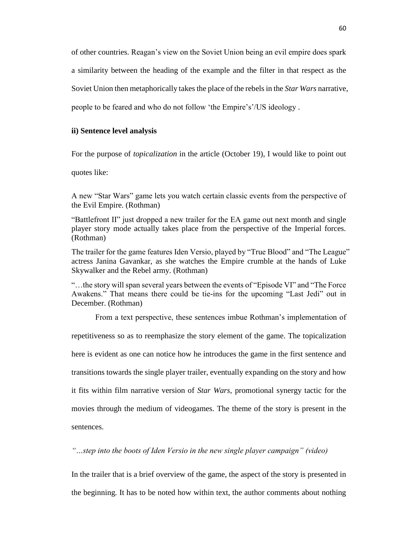of other countries. Reagan's view on the Soviet Union being an evil empire does spark a similarity between the heading of the example and the filter in that respect as the Soviet Union then metaphorically takes the place of the rebels in the *Star Wars* narrative, people to be feared and who do not follow 'the Empire's'/US ideology .

# **ii) Sentence level analysis**

For the purpose of *topicalization* in the article (October 19), I would like to point out

quotes like:

A new "Star Wars" game lets you watch certain classic events from the perspective of the Evil Empire. (Rothman)

"Battlefront II" just dropped a new trailer for the EA game out next month and single player story mode actually takes place from the perspective of the Imperial forces. (Rothman)

The trailer for the game features Iden Versio, played by "True Blood" and "The League" actress Janina Gavankar, as she watches the Empire crumble at the hands of Luke Skywalker and the Rebel army. (Rothman)

"…the story will span several years between the events of "Episode VI" and "The Force Awakens." That means there could be tie-ins for the upcoming "Last Jedi" out in December. (Rothman)

From a text perspective, these sentences imbue Rothman's implementation of

repetitiveness so as to reemphasize the story element of the game. The topicalization

here is evident as one can notice how he introduces the game in the first sentence and

transitions towards the single player trailer, eventually expanding on the story and how

it fits within film narrative version of *Star Wars,* promotional synergy tactic for the

movies through the medium of videogames. The theme of the story is present in the sentences.

*"…step into the boots of Iden Versio in the new single player campaign" (video)*

In the trailer that is a brief overview of the game, the aspect of the story is presented in the beginning. It has to be noted how within text, the author comments about nothing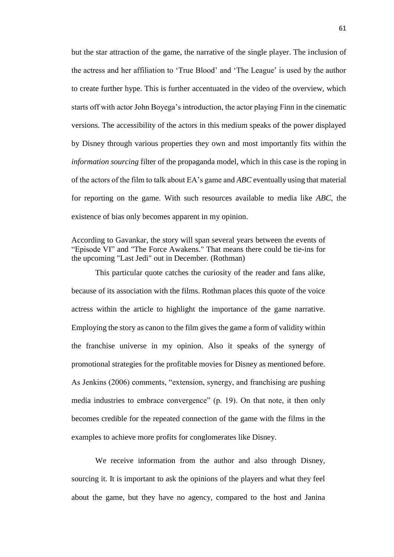but the star attraction of the game, the narrative of the single player. The inclusion of the actress and her affiliation to 'True Blood' and 'The League' is used by the author to create further hype. This is further accentuated in the video of the overview, which starts off with actor John Boyega's introduction, the actor playing Finn in the cinematic versions. The accessibility of the actors in this medium speaks of the power displayed by Disney through various properties they own and most importantly fits within the *information sourcing* filter of the propaganda model, which in this case is the roping in of the actors of the film to talk about EA's game and *ABC* eventually using that material for reporting on the game. With such resources available to media like *ABC*, the existence of bias only becomes apparent in my opinion.

This particular quote catches the curiosity of the reader and fans alike, because of its association with the films. Rothman places this quote of the voice actress within the article to highlight the importance of the game narrative. Employing the story as canon to the film gives the game a form of validity within the franchise universe in my opinion. Also it speaks of the synergy of promotional strategies for the profitable movies for Disney as mentioned before. As Jenkins (2006) comments, "extension, synergy, and franchising are pushing media industries to embrace convergence" (p. 19). On that note, it then only becomes credible for the repeated connection of the game with the films in the examples to achieve more profits for conglomerates like Disney.

We receive information from the author and also through Disney, sourcing it. It is important to ask the opinions of the players and what they feel about the game, but they have no agency, compared to the host and Janina

According to Gavankar, the story will span several years between the events of "Episode VI" and "The Force Awakens." That means there could be tie-ins for the upcoming "Last Jedi" out in December. (Rothman)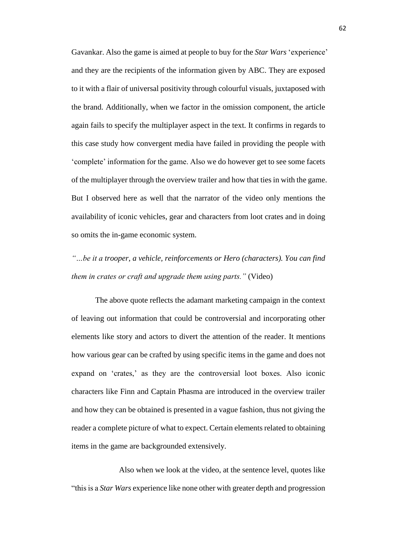Gavankar. Also the game is aimed at people to buy for the *Star Wars* 'experience' and they are the recipients of the information given by ABC. They are exposed to it with a flair of universal positivity through colourful visuals, juxtaposed with the brand. Additionally, when we factor in the omission component, the article again fails to specify the multiplayer aspect in the text. It confirms in regards to this case study how convergent media have failed in providing the people with 'complete' information for the game. Also we do however get to see some facets of the multiplayer through the overview trailer and how that ties in with the game. But I observed here as well that the narrator of the video only mentions the availability of iconic vehicles, gear and characters from loot crates and in doing so omits the in-game economic system.

*"…be it a trooper, a vehicle, reinforcements or Hero (characters). You can find them in crates or craft and upgrade them using parts."* (Video)

The above quote reflects the adamant marketing campaign in the context of leaving out information that could be controversial and incorporating other elements like story and actors to divert the attention of the reader. It mentions how various gear can be crafted by using specific items in the game and does not expand on 'crates,' as they are the controversial loot boxes. Also iconic characters like Finn and Captain Phasma are introduced in the overview trailer and how they can be obtained is presented in a vague fashion, thus not giving the reader a complete picture of what to expect. Certain elements related to obtaining items in the game are backgrounded extensively.

Also when we look at the video, at the sentence level, quotes like "this is a *Star Wars* experience like none other with greater depth and progression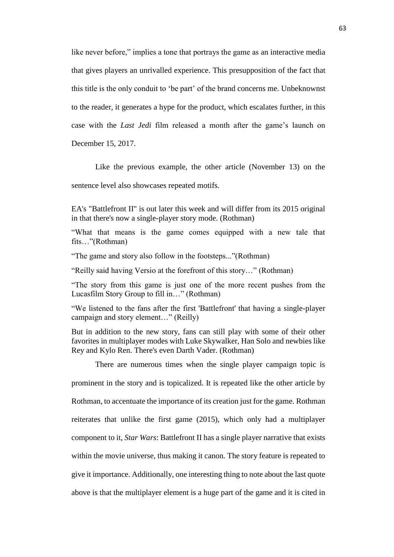like never before," implies a tone that portrays the game as an interactive media that gives players an unrivalled experience. This presupposition of the fact that this title is the only conduit to 'be part' of the brand concerns me. Unbeknownst to the reader, it generates a hype for the product, which escalates further, in this case with the *Last Jedi* film released a month after the game's launch on December 15, 2017.

Like the previous example, the other article (November 13) on the sentence level also showcases repeated motifs.

EA's "Battlefront II" is out later this week and will differ from its 2015 original in that there's now a single-player story mode. (Rothman)

"What that means is the game comes equipped with a new tale that fits…"(Rothman)

"The game and story also follow in the footsteps..."(Rothman)

"Reilly said having Versio at the forefront of this story…" (Rothman)

"The story from this game is just one of the more recent pushes from the Lucasfilm Story Group to fill in…" (Rothman)

"We listened to the fans after the first 'Battlefront' that having a single-player campaign and story element…" (Reilly)

But in addition to the new story, fans can still play with some of their other favorites in multiplayer modes with Luke Skywalker, Han Solo and newbies like Rey and Kylo Ren. There's even Darth Vader. (Rothman)

There are numerous times when the single player campaign topic is prominent in the story and is topicalized. It is repeated like the other article by Rothman, to accentuate the importance of its creation just for the game. Rothman reiterates that unlike the first game (2015), which only had a multiplayer component to it, *Star Wars*: Battlefront II has a single player narrative that exists within the movie universe, thus making it canon. The story feature is repeated to give it importance. Additionally, one interesting thing to note about the last quote above is that the multiplayer element is a huge part of the game and it is cited in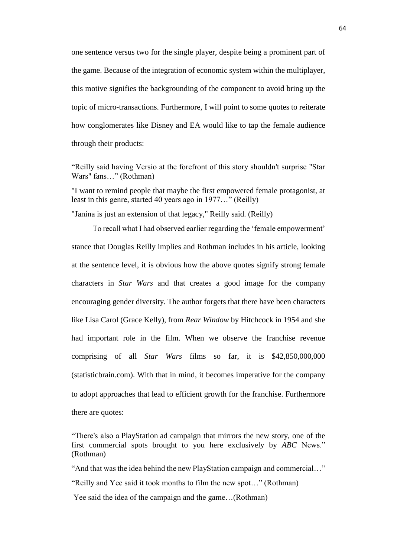one sentence versus two for the single player, despite being a prominent part of the game. Because of the integration of economic system within the multiplayer, this motive signifies the backgrounding of the component to avoid bring up the topic of micro-transactions. Furthermore, I will point to some quotes to reiterate how conglomerates like Disney and EA would like to tap the female audience through their products:

"Reilly said having Versio at the forefront of this story shouldn't surprise "Star Wars" fans…" (Rothman)

"I want to remind people that maybe the first empowered female protagonist, at least in this genre, started 40 years ago in 1977…" (Reilly)

"Janina is just an extension of that legacy," Reilly said. (Reilly)

To recall what I had observed earlier regarding the 'female empowerment' stance that Douglas Reilly implies and Rothman includes in his article, looking at the sentence level, it is obvious how the above quotes signify strong female characters in *Star Wars* and that creates a good image for the company encouraging gender diversity. The author forgets that there have been characters like Lisa Carol (Grace Kelly), from *Rear Window* by Hitchcock in 1954 and she had important role in the film. When we observe the franchise revenue comprising of all *Star Wars* films so far, it is \$42,850,000,000 (statisticbrain.com). With that in mind, it becomes imperative for the company to adopt approaches that lead to efficient growth for the franchise. Furthermore there are quotes:

"And that was the idea behind the new PlayStation campaign and commercial…"

<sup>&</sup>quot;There's also a PlayStation ad campaign that mirrors the new story, one of the first commercial spots brought to you here exclusively by *ABC* News." (Rothman)

<sup>&</sup>quot;Reilly and Yee said it took months to film the new spot…" (Rothman)

Yee said the idea of the campaign and the game…(Rothman)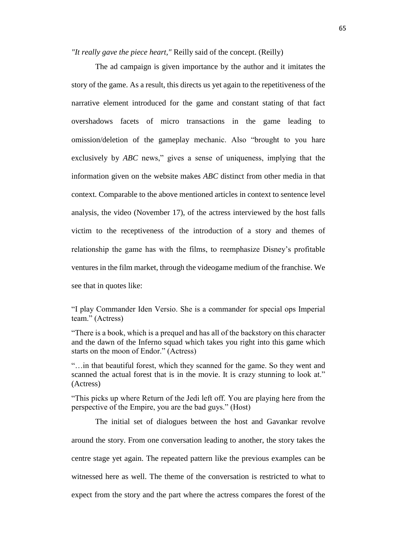*"It really gave the piece heart,"* Reilly said of the concept. (Reilly)

The ad campaign is given importance by the author and it imitates the story of the game. As a result, this directs us yet again to the repetitiveness of the narrative element introduced for the game and constant stating of that fact overshadows facets of micro transactions in the game leading to omission/deletion of the gameplay mechanic. Also "brought to you hare exclusively by *ABC* news," gives a sense of uniqueness, implying that the information given on the website makes *ABC* distinct from other media in that context. Comparable to the above mentioned articles in context to sentence level analysis, the video (November 17), of the actress interviewed by the host falls victim to the receptiveness of the introduction of a story and themes of relationship the game has with the films, to reemphasize Disney's profitable ventures in the film market, through the videogame medium of the franchise. We see that in quotes like:

"I play Commander Iden Versio. She is a commander for special ops Imperial team." (Actress)

"There is a book, which is a prequel and has all of the backstory on this character and the dawn of the Inferno squad which takes you right into this game which starts on the moon of Endor." (Actress)

"…in that beautiful forest, which they scanned for the game. So they went and scanned the actual forest that is in the movie. It is crazy stunning to look at." (Actress)

"This picks up where Return of the Jedi left off. You are playing here from the perspective of the Empire, you are the bad guys." (Host)

The initial set of dialogues between the host and Gavankar revolve around the story. From one conversation leading to another, the story takes the centre stage yet again. The repeated pattern like the previous examples can be witnessed here as well. The theme of the conversation is restricted to what to expect from the story and the part where the actress compares the forest of the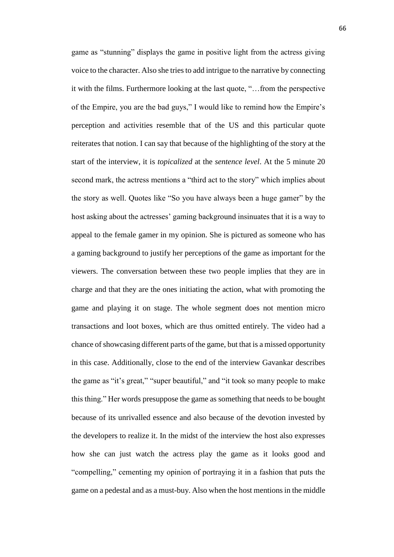game as "stunning" displays the game in positive light from the actress giving voice to the character. Also she tries to add intrigue to the narrative by connecting it with the films. Furthermore looking at the last quote, "…from the perspective of the Empire, you are the bad guys," I would like to remind how the Empire's perception and activities resemble that of the US and this particular quote reiterates that notion. I can say that because of the highlighting of the story at the start of the interview, it is *topicalized* at the *sentence level*. At the 5 minute 20 second mark, the actress mentions a "third act to the story" which implies about the story as well. Quotes like "So you have always been a huge gamer" by the host asking about the actresses' gaming background insinuates that it is a way to appeal to the female gamer in my opinion. She is pictured as someone who has a gaming background to justify her perceptions of the game as important for the viewers. The conversation between these two people implies that they are in charge and that they are the ones initiating the action, what with promoting the game and playing it on stage. The whole segment does not mention micro transactions and loot boxes, which are thus omitted entirely. The video had a chance of showcasing different parts of the game, but that is a missed opportunity in this case. Additionally, close to the end of the interview Gavankar describes the game as "it's great," "super beautiful," and "it took so many people to make this thing." Her words presuppose the game as something that needs to be bought because of its unrivalled essence and also because of the devotion invested by the developers to realize it. In the midst of the interview the host also expresses how she can just watch the actress play the game as it looks good and "compelling," cementing my opinion of portraying it in a fashion that puts the game on a pedestal and as a must-buy. Also when the host mentions in the middle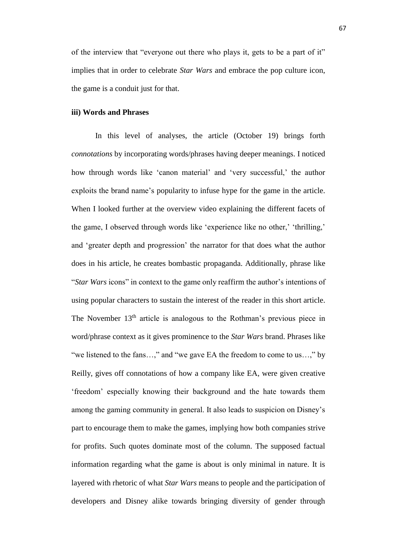of the interview that "everyone out there who plays it, gets to be a part of it" implies that in order to celebrate *Star Wars* and embrace the pop culture icon, the game is a conduit just for that.

## **iii) Words and Phrases**

In this level of analyses, the article (October 19) brings forth *connotations* by incorporating words/phrases having deeper meanings. I noticed how through words like 'canon material' and 'very successful,' the author exploits the brand name's popularity to infuse hype for the game in the article. When I looked further at the overview video explaining the different facets of the game, I observed through words like 'experience like no other,' 'thrilling,' and 'greater depth and progression' the narrator for that does what the author does in his article, he creates bombastic propaganda. Additionally, phrase like "*Star Wars* icons" in context to the game only reaffirm the author's intentions of using popular characters to sustain the interest of the reader in this short article. The November 13<sup>th</sup> article is analogous to the Rothman's previous piece in word/phrase context as it gives prominence to the *Star Wars* brand. Phrases like "we listened to the fans…," and "we gave EA the freedom to come to us…," by Reilly, gives off connotations of how a company like EA, were given creative 'freedom' especially knowing their background and the hate towards them among the gaming community in general. It also leads to suspicion on Disney's part to encourage them to make the games, implying how both companies strive for profits. Such quotes dominate most of the column. The supposed factual information regarding what the game is about is only minimal in nature. It is layered with rhetoric of what *Star Wars* means to people and the participation of developers and Disney alike towards bringing diversity of gender through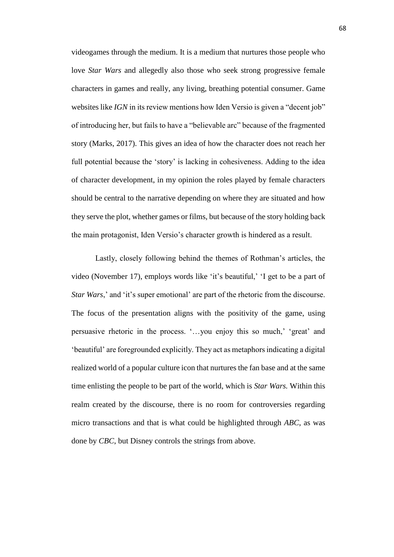videogames through the medium. It is a medium that nurtures those people who love *Star Wars* and allegedly also those who seek strong progressive female characters in games and really, any living, breathing potential consumer. Game websites like *IGN* in its review mentions how Iden Versio is given a "decent job" of introducing her, but fails to have a "believable arc" because of the fragmented story (Marks, 2017). This gives an idea of how the character does not reach her full potential because the 'story' is lacking in cohesiveness. Adding to the idea of character development, in my opinion the roles played by female characters should be central to the narrative depending on where they are situated and how they serve the plot, whether games or films, but because of the story holding back the main protagonist, Iden Versio's character growth is hindered as a result.

Lastly, closely following behind the themes of Rothman's articles, the video (November 17), employs words like 'it's beautiful,' 'I get to be a part of *Star Wars*,' and 'it's super emotional' are part of the rhetoric from the discourse. The focus of the presentation aligns with the positivity of the game, using persuasive rhetoric in the process. '…you enjoy this so much,' 'great' and 'beautiful' are foregrounded explicitly. They act as metaphors indicating a digital realized world of a popular culture icon that nurtures the fan base and at the same time enlisting the people to be part of the world, which is *Star Wars.* Within this realm created by the discourse, there is no room for controversies regarding micro transactions and that is what could be highlighted through *ABC*, as was done by *CBC*, but Disney controls the strings from above.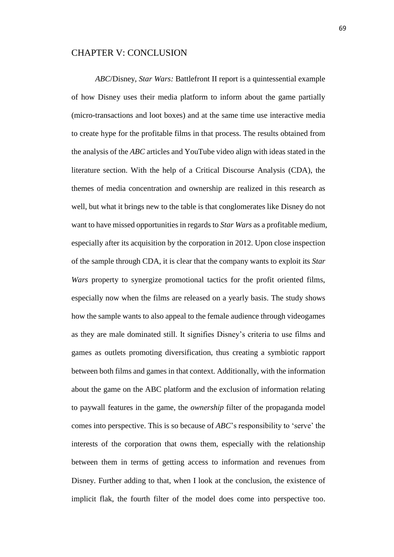## CHAPTER V: CONCLUSION

*ABC*/Disney, *Star Wars:* Battlefront II report is a quintessential example of how Disney uses their media platform to inform about the game partially (micro-transactions and loot boxes) and at the same time use interactive media to create hype for the profitable films in that process. The results obtained from the analysis of the *ABC* articles and YouTube video align with ideas stated in the literature section. With the help of a Critical Discourse Analysis (CDA), the themes of media concentration and ownership are realized in this research as well, but what it brings new to the table is that conglomerates like Disney do not want to have missed opportunities in regards to *Star Wars* as a profitable medium, especially after its acquisition by the corporation in 2012. Upon close inspection of the sample through CDA, it is clear that the company wants to exploit its *Star Wars* property to synergize promotional tactics for the profit oriented films, especially now when the films are released on a yearly basis. The study shows how the sample wants to also appeal to the female audience through videogames as they are male dominated still. It signifies Disney's criteria to use films and games as outlets promoting diversification, thus creating a symbiotic rapport between both films and games in that context. Additionally, with the information about the game on the ABC platform and the exclusion of information relating to paywall features in the game, the *ownership* filter of the propaganda model comes into perspective. This is so because of *ABC*'s responsibility to 'serve' the interests of the corporation that owns them, especially with the relationship between them in terms of getting access to information and revenues from Disney. Further adding to that, when I look at the conclusion, the existence of implicit flak, the fourth filter of the model does come into perspective too.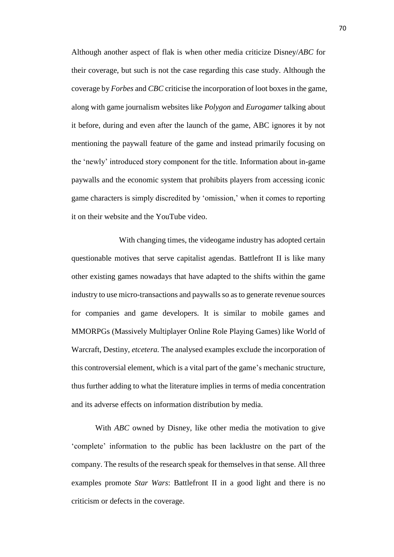Although another aspect of flak is when other media criticize Disney/*ABC* for their coverage, but such is not the case regarding this case study. Although the coverage by *Forbes* and *CBC* criticise the incorporation of loot boxes in the game, along with game journalism websites like *Polygon* and *Eurogamer* talking about it before, during and even after the launch of the game, ABC ignores it by not mentioning the paywall feature of the game and instead primarily focusing on the 'newly' introduced story component for the title. Information about in-game paywalls and the economic system that prohibits players from accessing iconic game characters is simply discredited by 'omission,' when it comes to reporting it on their website and the YouTube video.

With changing times, the videogame industry has adopted certain questionable motives that serve capitalist agendas. Battlefront II is like many other existing games nowadays that have adapted to the shifts within the game industry to use micro-transactions and paywalls so as to generate revenue sources for companies and game developers. It is similar to mobile games and MMORPGs (Massively Multiplayer Online Role Playing Games) like World of Warcraft, Destiny, *etcetera.* The analysed examples exclude the incorporation of this controversial element, which is a vital part of the game's mechanic structure, thus further adding to what the literature implies in terms of media concentration and its adverse effects on information distribution by media.

With *ABC* owned by Disney, like other media the motivation to give 'complete' information to the public has been lacklustre on the part of the company. The results of the research speak for themselves in that sense. All three examples promote *Star Wars*: Battlefront II in a good light and there is no criticism or defects in the coverage.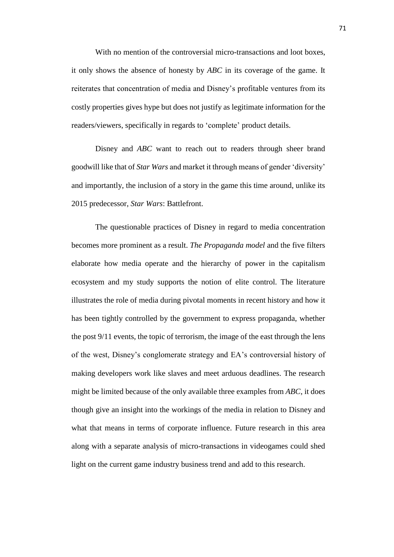With no mention of the controversial micro-transactions and loot boxes, it only shows the absence of honesty by *ABC* in its coverage of the game. It reiterates that concentration of media and Disney's profitable ventures from its costly properties gives hype but does not justify as legitimate information for the readers/viewers, specifically in regards to 'complete' product details.

Disney and *ABC* want to reach out to readers through sheer brand goodwill like that of *Star Wars* and market it through means of gender 'diversity' and importantly, the inclusion of a story in the game this time around, unlike its 2015 predecessor, *Star Wars*: Battlefront.

The questionable practices of Disney in regard to media concentration becomes more prominent as a result. *The Propaganda model* and the five filters elaborate how media operate and the hierarchy of power in the capitalism ecosystem and my study supports the notion of elite control. The literature illustrates the role of media during pivotal moments in recent history and how it has been tightly controlled by the government to express propaganda, whether the post 9/11 events, the topic of terrorism, the image of the east through the lens of the west, Disney's conglomerate strategy and EA's controversial history of making developers work like slaves and meet arduous deadlines. The research might be limited because of the only available three examples from *ABC*, it does though give an insight into the workings of the media in relation to Disney and what that means in terms of corporate influence. Future research in this area along with a separate analysis of micro-transactions in videogames could shed light on the current game industry business trend and add to this research.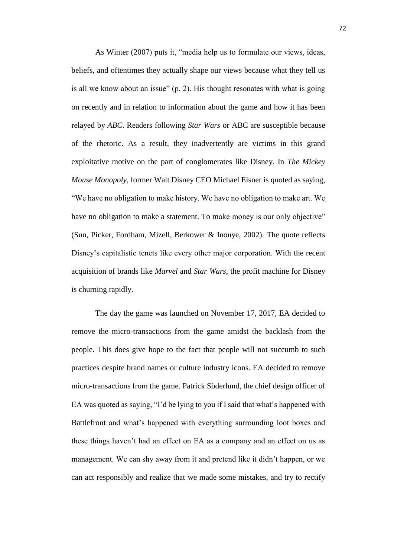As Winter (2007) puts it, "media help us to formulate our views, ideas, beliefs, and oftentimes they actually shape our views because what they tell us is all we know about an issue" (p. 2). His thought resonates with what is going on recently and in relation to information about the game and how it has been relayed by *ABC*. Readers following *Star Wars* or ABC are susceptible because of the rhetoric. As a result, they inadvertently are victims in this grand exploitative motive on the part of conglomerates like Disney. In *The Mickey Mouse Monopoly*, former Walt Disney CEO Michael Eisner is quoted as saying, "We have no obligation to make history. We have no obligation to make art. We have no obligation to make a statement. To make money is our only objective" (Sun, Picker, Fordham, Mizell, Berkower & Inouye, 2002). The quote reflects Disney's capitalistic tenets like every other major corporation. With the recent acquisition of brands like *Marvel* and *Star Wars*, the profit machine for Disney is churning rapidly.

The day the game was launched on November 17, 2017, EA decided to remove the micro-transactions from the game amidst the backlash from the people. This does give hope to the fact that people will not succumb to such practices despite brand names or culture industry icons. EA decided to remove micro-transactions from the game. Patrick Söderlund, the chief design officer of EA was quoted as saying, "I'd be lying to you if I said that what's happened with Battlefront and what's happened with everything surrounding loot boxes and these things haven't had an effect on EA as a company and an effect on us as management. We can shy away from it and pretend like it didn't happen, or we can act responsibly and realize that we made some mistakes, and try to rectify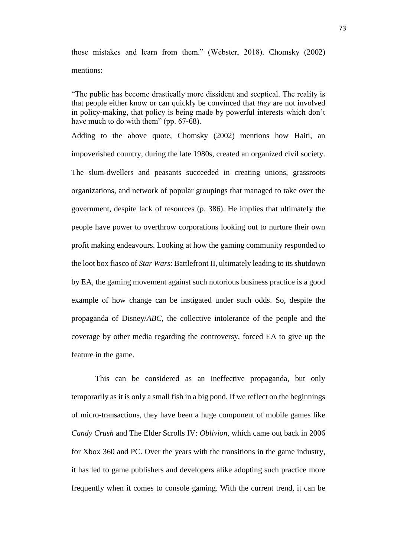those mistakes and learn from them." (Webster, 2018). Chomsky (2002) mentions:

"The public has become drastically more dissident and sceptical. The reality is that people either know or can quickly be convinced that *they* are not involved in policy-making, that policy is being made by powerful interests which don't have much to do with them" (pp. 67-68).

Adding to the above quote, Chomsky (2002) mentions how Haiti, an impoverished country, during the late 1980s, created an organized civil society. The slum-dwellers and peasants succeeded in creating unions, grassroots organizations, and network of popular groupings that managed to take over the government, despite lack of resources (p. 386). He implies that ultimately the people have power to overthrow corporations looking out to nurture their own profit making endeavours. Looking at how the gaming community responded to the loot box fiasco of *Star Wars*: Battlefront II, ultimately leading to its shutdown by EA, the gaming movement against such notorious business practice is a good example of how change can be instigated under such odds. So, despite the propaganda of Disney/*ABC,* the collective intolerance of the people and the coverage by other media regarding the controversy, forced EA to give up the feature in the game.

This can be considered as an ineffective propaganda, but only temporarily as it is only a small fish in a big pond. If we reflect on the beginnings of micro-transactions, they have been a huge component of mobile games like *Candy Crush* and The Elder Scrolls IV: *Oblivion*, which came out back in 2006 for Xbox 360 and PC. Over the years with the transitions in the game industry, it has led to game publishers and developers alike adopting such practice more frequently when it comes to console gaming. With the current trend, it can be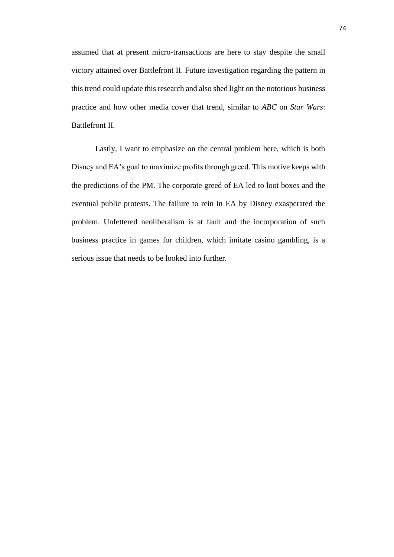assumed that at present micro-transactions are here to stay despite the small victory attained over Battlefront II. Future investigation regarding the pattern in this trend could update this research and also shed light on the notorious business practice and how other media cover that trend, similar to *ABC* on *Star Wars*: Battlefront II.

Lastly, I want to emphasize on the central problem here, which is both Disney and EA's goal to maximize profits through greed. This motive keeps with the predictions of the PM. The corporate greed of EA led to loot boxes and the eventual public protests. The failure to rein in EA by Disney exasperated the problem. Unfettered neoliberalism is at fault and the incorporation of such business practice in games for children, which imitate casino gambling, is a serious issue that needs to be looked into further.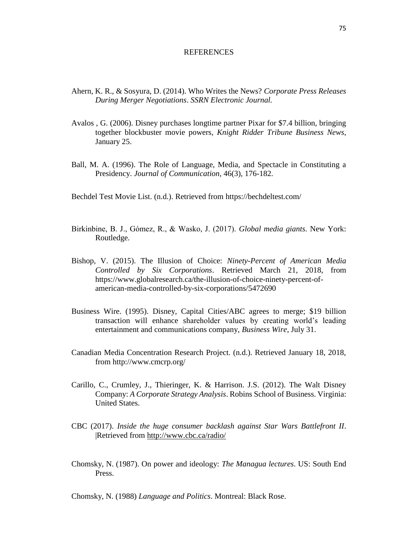## **REFERENCES**

- Ahern, K. R., & Sosyura, D. (2014). Who Writes the News? *Corporate Press Releases During Merger Negotiations*. *SSRN Electronic Journal.*
- Avalos , G. (2006). Disney purchases longtime partner Pixar for \$7.4 billion, bringing together blockbuster movie powers, *Knight Ridder Tribune Business News*, January 25.
- Ball, M. A. (1996). The Role of Language, Media, and Spectacle in Constituting a Presidency. *Journal of Communication*, 46(3), 176-182.
- Bechdel Test Movie List. (n.d.). Retrieved from<https://bechdeltest.com/>
- Birkinbine, B. J., Gómez, R., & Wasko, J. (2017). *Global media giants*. New York: Routledge.
- Bishop, V. (2015). The Illusion of Choice: *Ninety-Percent of American Media Controlled by Six Corporations*. Retrieved March 21, 2018, from [https://www.globalresearch.ca/the-illusion-of-choice-ninety-percent-of](https://www.globalresearch.ca/the-illusion-of-choice-ninety-percent-of-american-media-controlled-by-six-corporations/5472690)[american-media-controlled-by-six-corporations/5472690](https://www.globalresearch.ca/the-illusion-of-choice-ninety-percent-of-american-media-controlled-by-six-corporations/5472690)
- Business Wire. (1995). Disney, Capital Cities/ABC agrees to merge; \$19 billion transaction will enhance shareholder values by creating world's leading entertainment and communications company, *Business Wire*, July 31.
- Canadian Media Concentration Research Project. (n.d.). Retrieved January 18, 2018, from<http://www.cmcrp.org/>
- Carillo, C., Crumley, J., Thieringer, K. & Harrison. J.S. (2012). The Walt Disney Company: *A Corporate Strategy Analysis*. Robins School of Business. Virginia: United States.
- CBC (2017). *Inside the huge consumer backlash against Star Wars Battlefront II*. |Retrieved from<http://www.cbc.ca/radio/>
- Chomsky, N. (1987). On power and ideology: *The Managua lectures*. US: South End Press.

Chomsky, N. (1988) *Language and Politics*. Montreal: Black Rose.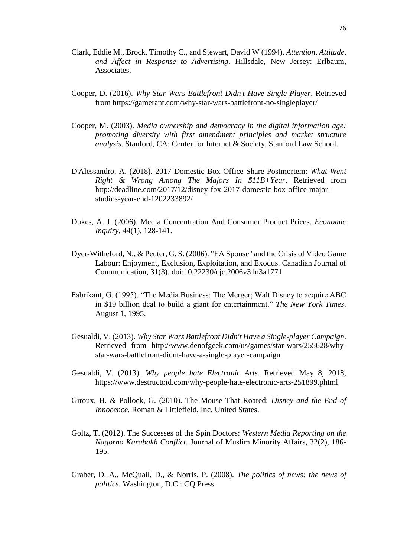- Clark, Eddie M., Brock, Timothy C., and Stewart, David W (1994). *Attention, Attitude, and Affect in Response to Advertising*. Hillsdale, New Jersey: Erlbaum, Associates.
- Cooper, D. (2016). *Why Star Wars Battlefront Didn't Have Single Player*. Retrieved from https://gamerant.com/why-star-wars-battlefront-no-singleplayer/
- Cooper, M. (2003). *Media ownership and democracy in the digital information age: promoting diversity with first amendment principles and market structure analysis*. Stanford, CA: Center for Internet & Society, Stanford Law School.
- D'Alessandro, A. (2018). 2017 Domestic Box Office Share Postmortem: *What Went Right & Wrong Among The Majors In \$11B+Year*. Retrieved from http://deadline.com/2017/12/disney-fox-2017-domestic-box-office-majorstudios-year-end-1202233892/
- Dukes, A. J. (2006). Media Concentration And Consumer Product Prices. *Economic Inquiry*, 44(1), 128-141.
- Dyer-Witheford, N., & Peuter, G. S. (2006). "EA Spouse" and the Crisis of Video Game Labour: Enjoyment, Exclusion, Exploitation, and Exodus. Canadian Journal of Communication, 31(3). doi:10.22230/cjc.2006v31n3a1771
- Fabrikant, G. (1995). "The Media Business: The Merger; Walt Disney to acquire ABC in \$19 billion deal to build a giant for entertainment." *The New York Times*. August 1, 1995.
- Gesualdi, V. (2013). *Why Star Wars Battlefront Didn't Have a Single-player Campaign*. Retrieved from [http://www.denofgeek.com/us/games/star-wars/255628/why](http://www.denofgeek.com/us/games/star-wars/255628/why-star-wars-battlefront-didnt-have-a-single-player-campaign)[star-wars-battlefront-didnt-have-a-single-player-campaign](http://www.denofgeek.com/us/games/star-wars/255628/why-star-wars-battlefront-didnt-have-a-single-player-campaign)
- Gesualdi, V. (2013). *Why people hate Electronic Arts*. Retrieved May 8, 2018, https://www.destructoid.com/why-people-hate-electronic-arts-251899.phtml
- Giroux, H. & Pollock, G. (2010). The Mouse That Roared: *Disney and the End of Innocence*. Roman & Littlefield, Inc. United States.
- Goltz, T. (2012). The Successes of the Spin Doctors: *Western Media Reporting on the Nagorno Karabakh Conflict*. Journal of Muslim Minority Affairs, 32(2), 186- 195.
- Graber, D. A., McQuail, D., & Norris, P. (2008). *The politics of news: the news of politics*. Washington, D.C.: CQ Press.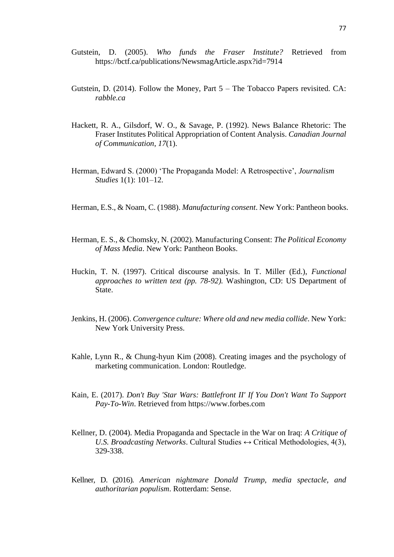- Gutstein, D. (2005). *Who funds the Fraser Institute?* Retrieved from <https://bctf.ca/publications/NewsmagArticle.aspx?id=7914>
- Gutstein, D. (2014). Follow the Money, Part 5 The Tobacco Papers revisited. CA: *rabble.ca*
- Hackett, R. A., Gilsdorf, W. O., & Savage, P. (1992). News Balance Rhetoric: The Fraser Institutes Political Appropriation of Content Analysis. *Canadian Journal of Communication*, *17*(1).
- Herman, Edward S. (2000) 'The Propaganda Model: A Retrospective', *Journalism Studies* 1(1): 101–12.
- Herman, E.S., & Noam, C. (1988). *Manufacturing consent*. New York: Pantheon books.
- Herman, E. S., & Chomsky, N. (2002). Manufacturing Consent: *The Political Economy of Mass Media*. New York: Pantheon Books.
- Huckin, T. N. (1997). Critical discourse analysis. In T. Miller (Ed.), *Functional approaches to written text (pp. 78-92).* Washington, CD: US Department of State.
- Jenkins, H. (2006). *Convergence culture: Where old and new media collide*. New York: New York University Press.
- Kahle, Lynn R., & Chung-hyun Kim (2008). Creating images and the psychology of marketing communication. London: Routledge.
- Kain, E. (2017). *Don't Buy 'Star Wars: Battlefront II' If You Don't Want To Support Pay-To-Win*. Retrieved from https://www.forbes.com
- Kellner, D. (2004). Media Propaganda and Spectacle in the War on Iraq: *A Critique of U.S. Broadcasting Networks.* Cultural Studies  $\leftrightarrow$  Critical Methodologies, 4(3), 329-338.
- Kellner, D. (2016). *American nightmare Donald Trump, media spectacle, and authoritarian populism*. Rotterdam: Sense.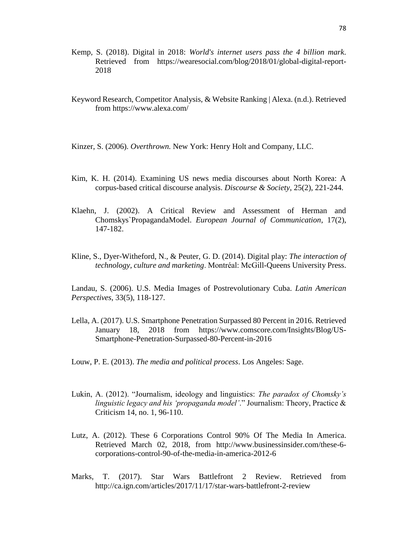- Kemp, S. (2018). Digital in 2018: *World's internet users pass the 4 billion mark*. Retrieved from https://wearesocial.com/blog/2018/01/global-digital-report-2018
- Keyword Research, Competitor Analysis, & Website Ranking | Alexa. (n.d.). Retrieved from https://www.alexa.com/
- Kinzer, S. (2006). *Overthrown.* New York: Henry Holt and Company, LLC.
- Kim, K. H. (2014). Examining US news media discourses about North Korea: A corpus-based critical discourse analysis. *Discourse & Society*, 25(2), 221-244.
- Klaehn, J. (2002). A Critical Review and Assessment of Herman and Chomskys`PropagandaModel. *European Journal of Communication*, 17(2), 147-182.
- Kline, S., Dyer-Witheford, N., & Peuter, G. D. (2014). Digital play: *The interaction of technology, culture and marketing*. Montréal: McGill-Queens University Press.

Landau, S. (2006). U.S. Media Images of Postrevolutionary Cuba. *Latin American Perspectives*, 33(5), 118-127.

- Lella, A. (2017). U.S. Smartphone Penetration Surpassed 80 Percent in 2016. Retrieved January 18, 2018 from [https://www.comscore.com/Insights/Blog/US-](https://www.comscore.com/Insights/Blog/US-Smartphone-Penetration-Surpassed-80-Percent-in-2016)[Smartphone-Penetration-Surpassed-80-Percent-in-2016](https://www.comscore.com/Insights/Blog/US-Smartphone-Penetration-Surpassed-80-Percent-in-2016)
- Louw, P. E. (2013). *The media and political process*. Los Angeles: Sage.
- Lukin, A. (2012). "Journalism, ideology and linguistics: *The paradox of Chomsky's linguistic legacy and his 'propaganda model'*." Journalism: Theory, Practice & Criticism 14, no. 1, 96-110.
- Lutz, A. (2012). These 6 Corporations Control 90% Of The Media In America. Retrieved March 02, 2018, from [http://www.businessinsider.com/these-6](http://www.businessinsider.com/these-6-corporations-control-90-of-the-media-in-america-2012-6) [corporations-control-90-of-the-media-in-america-2012-6](http://www.businessinsider.com/these-6-corporations-control-90-of-the-media-in-america-2012-6)
- Marks, T. (2017). Star Wars Battlefront 2 Review. Retrieved from http://ca.ign.com/articles/2017/11/17/star-wars-battlefront-2-review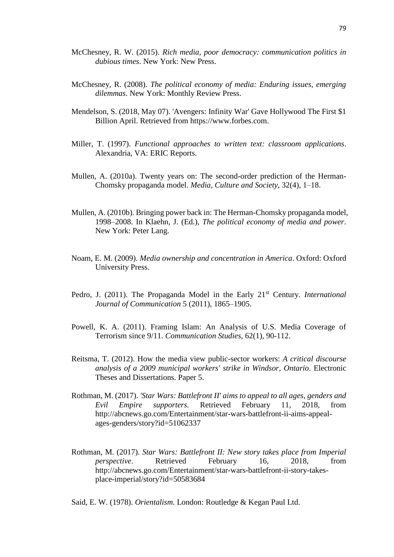- McChesney, R. W. (2015). *Rich media, poor democracy: communication politics in dubious times*. New York: New Press.
- McChesney, R. (2008). *The political economy of media: Enduring issues, emerging dilemmas*. New York: Monthly Review Press.
- Mendelson, S. (2018, May 07). 'Avengers: Infinity War' Gave Hollywood The First \$1 Billion April. Retrieved from https://www.forbes.com.
- Miller, T. (1997). *Functional approaches to written text: classroom applications*. Alexandria, VA: ERIC Reports.
- Mullen, A. (2010a). Twenty years on: The second-order prediction of the Herman-Chomsky propaganda model. *Media, Culture and Society*, 32(4), 1–18.
- Mullen, A. (2010b). Bringing power back in: The Herman-Chomsky propaganda model, 1998–2008. In Klaehn, J. (Ed.), *The political economy of media and power*. New York: Peter Lang.
- Noam, E. M. (2009). *Media ownership and concentration in America*. Oxford: Oxford University Press.
- Pedro, J. (2011). The Propaganda Model in the Early 21<sup>st</sup> Century. *International Journal of Communication* 5 (2011), 1865–1905.
- Powell, K. A. (2011). Framing Islam: An Analysis of U.S. Media Coverage of Terrorism since 9/11. *Communication Studies*, 62(1), 90-112.
- Reitsma, T. (2012). How the media view public-sector workers: *A critical discourse analysis of a 2009 municipal workers' strike in Windsor, Ontario*. Electronic Theses and Dissertations. Paper 5.
- Rothman, M. (2017). *'Star Wars: Battlefront II' aims to appeal to all ages, genders and Evil Empire supporters.* Retrieved February 11, 2018, from [http://abcnews.go.com/Entertainment/star-wars-battlefront-ii-aims-appeal](http://abcnews.go.com/Entertainment/star-wars-battlefront-ii-aims-appeal-ages-genders/story?id=51062337)[ages-genders/story?id=51062337](http://abcnews.go.com/Entertainment/star-wars-battlefront-ii-aims-appeal-ages-genders/story?id=51062337)
- Rothman, M. (2017). *Star Wars: Battlefront II: New story takes place from Imperial perspective*. Retrieved February 16, 2018, from [http://abcnews.go.com/Entertainment/star-wars-battlefront-ii-story-takes](http://abcnews.go.com/Entertainment/star-wars-battlefront-ii-story-takes-place-imperial/story?id=50583684)[place-imperial/story?id=50583684](http://abcnews.go.com/Entertainment/star-wars-battlefront-ii-story-takes-place-imperial/story?id=50583684)

Said, E. W. (1978). *Orientalism*. London: Routledge & Kegan Paul Ltd.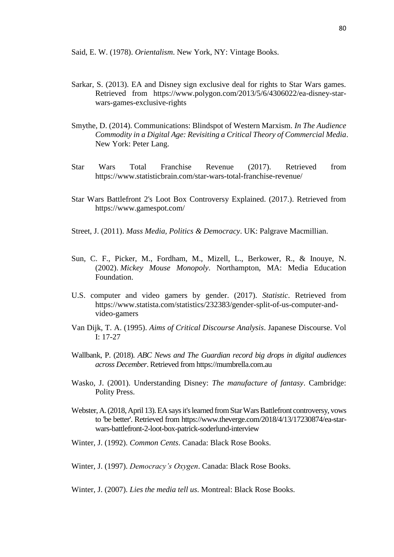Said, E. W. (1978). *Orientalism*. New York, NY: Vintage Books.

- Sarkar, S. (2013). EA and Disney sign exclusive deal for rights to Star Wars games. Retrieved from [https://www.polygon.com/2013/5/6/4306022/ea-disney-star](https://www.polygon.com/2013/5/6/4306022/ea-disney-star-wars-games-exclusive-rights)[wars-games-exclusive-rights](https://www.polygon.com/2013/5/6/4306022/ea-disney-star-wars-games-exclusive-rights)
- Smythe, D. (2014). Communications: Blindspot of Western Marxism. *In The Audience Commodity in a Digital Age: Revisiting a Critical Theory of Commercial Media*. New York: Peter Lang.
- Star Wars Total Franchise Revenue (2017). Retrieved from https://www.statisticbrain.com/star-wars-total-franchise-revenue/
- Star Wars Battlefront 2's Loot Box Controversy Explained. (2017.). Retrieved from https://www.gamespot.com/
- Street, J. (2011). *Mass Media, Politics & Democracy*. UK: Palgrave Macmillian.
- Sun, C. F., Picker, M., Fordham, M., Mizell, L., Berkower, R., & Inouye, N. (2002). *Mickey Mouse Monopoly*. Northampton, MA: Media Education Foundation.
- U.S. computer and video gamers by gender. (2017). *Statistic*. Retrieved from [https://www.statista.com/statistics/232383/gender-split-of-us-computer-and](https://www.statista.com/statistics/232383/gender-split-of-us-computer-and-video-gamers)[video-gamers](https://www.statista.com/statistics/232383/gender-split-of-us-computer-and-video-gamers)
- Van Dijk, T. A. (1995). *Aims of Critical Discourse Analysis*. Japanese Discourse. Vol I: 17-27
- Wallbank, P. (2018). *ABC News and The Guardian record big drops in digital audiences across December*. Retrieved from https://mumbrella.com.au
- Wasko, J. (2001). Understanding Disney: *The manufacture of fantasy*. Cambridge: Polity Press.
- Webster, A. (2018, April 13). EA says it's learned from Star Wars Battlefront controversy, vows to 'be better'. Retrieved from [https://www.theverge.com/2018/4/13/17230874/ea-star](https://www.theverge.com/2018/4/13/17230874/ea-star-wars-battlefront-2-loot-box-patrick-soderlund-interview)[wars-battlefront-2-loot-box-patrick-soderlund-interview](https://www.theverge.com/2018/4/13/17230874/ea-star-wars-battlefront-2-loot-box-patrick-soderlund-interview)
- Winter, J. (1992). *Common Cents*. Canada: Black Rose Books.

Winter, J. (1997). *Democracy's Oxygen*. Canada: Black Rose Books.

Winter, J. (2007). *Lies the media tell us*. Montreal: Black Rose Books.